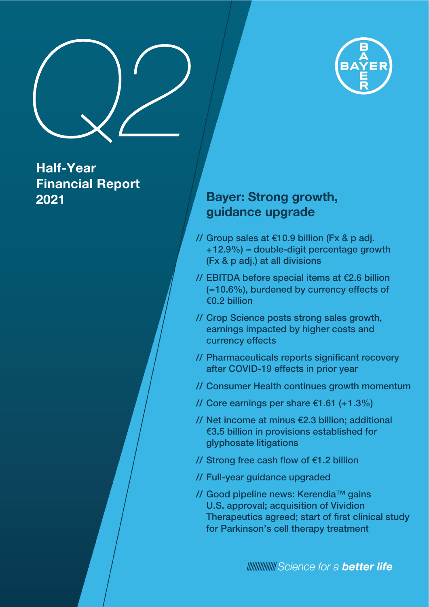

## Half-Year Financial Report 2021

### Bayer: Strong growth, guidance upgrade

- // Group sales at €10.9 billion (Fx & p adj. +12.9%) - double-digit percentage growth (Fx & p adj.) at all divisions
- // EBITDA before special items at €2.6 billion (-10.6%), burdened by currency effects of €0.2 billion
- // Crop Science posts strong sales growth, earnings impacted by higher costs and currency effects
- // Pharmaceuticals reports significant recovery after COVID-19 effects in prior year
- // Consumer Health continues growth momentum
- // Core earnings per share €1.61 (+1.3%)
- // Net income at minus €2.3 billion; additional €3.5 billion in provisions established for glyphosate litigations
- // Strong free cash flow of €1.2 billion
- // Full-year guidance upgraded
- // Good pipeline news: Kerendia™ gains U.S. approval; acquisition of Vividion Therapeutics agreed; start of first clinical study for Parkinson's cell therapy treatment

**MINIMUL** Science for a **better life**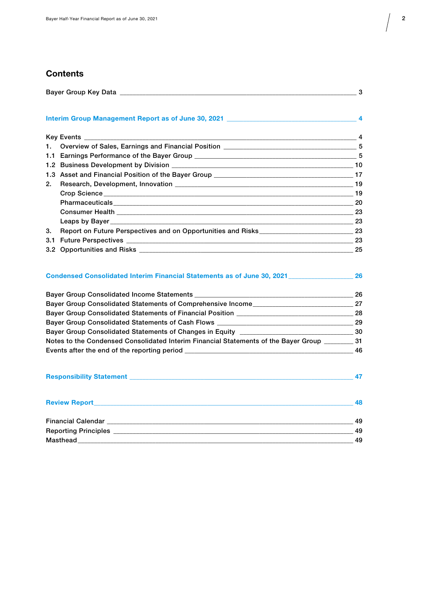### **Contents**

| 2.  |                                                                                                 |  |
|-----|-------------------------------------------------------------------------------------------------|--|
|     |                                                                                                 |  |
|     |                                                                                                 |  |
|     |                                                                                                 |  |
|     |                                                                                                 |  |
| 3.  | Report on Future Perspectives and on Opportunities and Risks_________________________________23 |  |
| 3.1 |                                                                                                 |  |
|     |                                                                                                 |  |

### [Condensed Consolidated Interim Financial Statements as of June 30, 2021 \\_\\_\\_\\_\\_\\_\\_\\_\\_\\_\\_\\_\\_\\_\\_\\_\\_\\_\\_\\_ 26](#page-25-0)

| Bayer Group Consolidated Income Statements __________                               | 26  |
|-------------------------------------------------------------------------------------|-----|
| <b>Bayer Group Consolidated Statements of Comprehensive Income_</b>                 | 27  |
| Bayer Group Consolidated Statements of Financial Position ________________          | 28  |
| Bayer Group Consolidated Statements of Cash Flows                                   | 29  |
| Bayer Group Consolidated Statements of Changes in Equity                            | -30 |
| Notes to the Condensed Consolidated Interim Financial Statements of the Bayer Group | -31 |
|                                                                                     | 46  |
|                                                                                     |     |

|                                                                                                                                                                                                                                      | 48 |
|--------------------------------------------------------------------------------------------------------------------------------------------------------------------------------------------------------------------------------------|----|
|                                                                                                                                                                                                                                      | 49 |
|                                                                                                                                                                                                                                      | 49 |
| Masthead <b>Executive Structure of the Structure Structure of the Structure of the Structure of the Structure of the Structure of the Structure of the Structure of the Structure of the Structure of the Structure of the Struc</b> | 49 |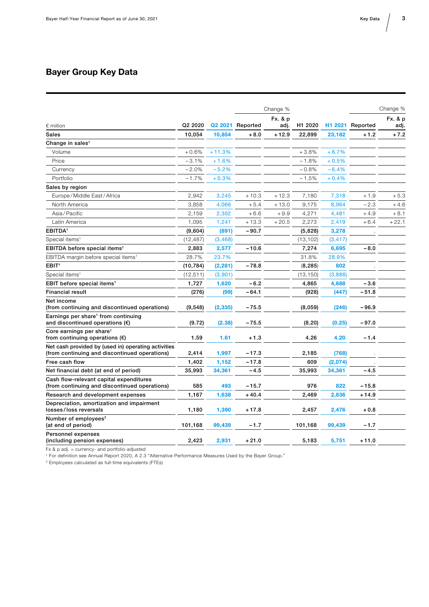### <span id="page-2-0"></span>Bayer Group Key Data

|                                                                                                      |           |          |                  | Change % |           |          |                  | Change % |
|------------------------------------------------------------------------------------------------------|-----------|----------|------------------|----------|-----------|----------|------------------|----------|
|                                                                                                      |           |          |                  | Fx. & p  |           |          |                  | Fx. & p  |
| $\epsilon$ million                                                                                   | Q2 2020   |          | Q2 2021 Reported | adj.     | H1 2020   |          | H1 2021 Reported | adj.     |
| <b>Sales</b>                                                                                         | 10,054    | 10,854   | $+8.0$           | $+12.9$  | 22,899    | 23,182   | $+1.2$           | $+7.2$   |
| Change in sales <sup>1</sup>                                                                         |           |          |                  |          |           |          |                  |          |
| Volume                                                                                               | $+0.6%$   | $+11.3%$ |                  |          | $+3.8%$   | $+6.7%$  |                  |          |
| Price                                                                                                | $-3.1%$   | + 1.6%   |                  |          | $-1.8%$   | $+0.5%$  |                  |          |
| Currency                                                                                             | $-2.0%$   | $-5.2%$  |                  |          | $-0.8%$   | $-6.4%$  |                  |          |
| Portfolio                                                                                            | $-1.7%$   | $+0.3%$  |                  |          | $-1.5%$   | $+0.4%$  |                  |          |
| Sales by region                                                                                      |           |          |                  |          |           |          |                  |          |
| Europe / Middle East / Africa                                                                        | 2,942     | 3,245    | $+10.3$          | $+12.3$  | 7,180     | 7,318    | $+1.9$           | $+5.3$   |
| North America                                                                                        | 3,858     | 4,066    | $+5.4$           | $+13.0$  | 9,175     | 8,964    | $-2.3$           | $+4.6$   |
| Asia/Pacific                                                                                         | 2,159     | 2,302    | $+6.6$           | $+9.9$   | 4,271     | 4,481    | $+4.9$           | $+8.1$   |
| Latin America                                                                                        | 1,095     | 1,241    | $+13.3$          | $+20.5$  | 2,273     | 2,419    | $+6.4$           | $+22.1$  |
| EBITDA <sup>1</sup>                                                                                  | (9,604)   | (891)    | $-90.7$          |          | (5,828)   | 3,278    |                  |          |
| Special items <sup>1</sup>                                                                           | (12,487)  | (3, 468) |                  |          | (13, 102) | (3, 417) |                  |          |
| EBITDA before special items <sup>1</sup>                                                             | 2,883     | 2,577    | $-10.6$          |          | 7,274     | 6,695    | $-8.0$           |          |
| EBITDA margin before special items <sup>1</sup>                                                      | 28.7%     | 23.7%    |                  |          | 31.8%     | 28.9%    |                  |          |
| EBIT <sup>1</sup>                                                                                    | (10, 784) | (2, 281) | $-78.8$          |          | (8, 285)  | 802      |                  |          |
| Special items <sup>1</sup>                                                                           | (12, 511) | (3,901)  |                  |          | (13, 150) | (3,886)  |                  |          |
| EBIT before special items <sup>1</sup>                                                               | 1,727     | 1,620    | $-6.2$           |          | 4,865     | 4,688    | $-3.6$           |          |
| <b>Financial result</b>                                                                              | (276)     | (99)     | $-64.1$          |          | (928)     | (447)    | $-51.8$          |          |
| Net income<br>(from continuing and discontinued operations)                                          | (9,548)   | (2, 335) | - 75.5           |          | (8,059)   | (246)    | -96.9            |          |
| Earnings per share <sup>1</sup> from continuing<br>and discontinued operations $(\epsilon)$          | (9.72)    | (2.38)   | $-75.5$          |          | (8.20)    | (0.25)   | $-97.0$          |          |
| Core earnings per share <sup>1</sup><br>from continuing operations $(\epsilon)$                      | 1.59      | 1.61     | $+1.3$           |          | 4.26      | 4.20     | $-1.4$           |          |
| Net cash provided by (used in) operating activities<br>(from continuing and discontinued operations) | 2,414     | 1,997    | -17.3            |          | 2,185     | (768)    |                  |          |
| Free cash flow                                                                                       | 1,402     | 1,152    | $-17.8$          |          | 609       | (2,074)  |                  |          |
| Net financial debt (at end of period)                                                                | 35,993    | 34,361   | $-4.5$           |          | 35,993    | 34,361   | $-4.5$           |          |
| Cash flow-relevant capital expenditures<br>(from continuing and discontinued operations)             | 585       | 493      | -15.7            |          | 976       | 822      | -15.8            |          |
| Research and development expenses                                                                    | 1,167     | 1,638    | $+40.4$          |          | 2,469     | 2,836    | $+14.9$          |          |
| Depreciation, amortization and impairment<br>losses/loss reversals                                   | 1,180     | 1,390    | $+17.8$          |          | 2,457     | 2,476    | $+0.8$           |          |
| Number of employees <sup>2</sup><br>(at end of period)                                               | 101,168   | 99,439   | $-1.7$           |          | 101,168   | 99,439   | $-1.7$           |          |
| Personnel expenses<br>(including pension expenses)                                                   | 2,423     | 2,931    | $+21.0$          |          | 5,183     | 5,751    | + 11.0           |          |

Fx & p adj. = currency- and portfolio-adjusted

1 For definition see Annual Report 2020, A 2.3 "Alternative Performance Measures Used by the Bayer Group."

2 Employees calculated as full-time equivalents (FTEs)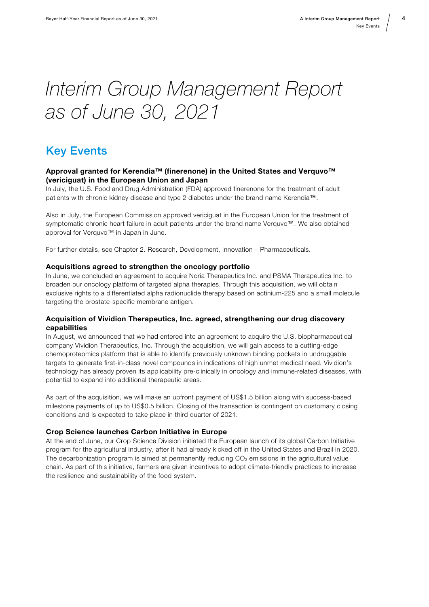# <span id="page-3-0"></span>Interim Group Management Report as of June 30, 2021

### Key Events

#### Approval granted for Kerendia™ (finerenone) in the United States and Verquvo™ (vericiguat) in the European Union and Japan

In July, the U.S. Food and Drug Administration (FDA) approved finerenone for the treatment of adult patients with chronic kidney disease and type 2 diabetes under the brand name Kerendia™.

Also in July, the European Commission approved vericiguat in the European Union for the treatment of symptomatic chronic heart failure in adult patients under the brand name Verquvo™. We also obtained approval for Verquvo™ in Japan in June.

For further details, see Chapter 2. Research, Development, Innovation – Pharmaceuticals.

#### Acquisitions agreed to strengthen the oncology portfolio

In June, we concluded an agreement to acquire Noria Therapeutics Inc. and PSMA Therapeutics Inc. to broaden our oncology platform of targeted alpha therapies. Through this acquisition, we will obtain exclusive rights to a differentiated alpha radionuclide therapy based on actinium-225 and a small molecule targeting the prostate-specific membrane antigen.

#### Acquisition of Vividion Therapeutics, Inc. agreed, strengthening our drug discovery capabilities

In August, we announced that we had entered into an agreement to acquire the U.S. biopharmaceutical company Vividion Therapeutics, Inc. Through the acquisition, we will gain access to a cutting-edge chemoproteomics platform that is able to identify previously unknown binding pockets in undruggable targets to generate first-in-class novel compounds in indications of high unmet medical need. Vividion's technology has already proven its applicability pre-clinically in oncology and immune-related diseases, with potential to expand into additional therapeutic areas.

As part of the acquisition, we will make an upfront payment of US\$1.5 billion along with success-based milestone payments of up to US\$0.5 billion. Closing of the transaction is contingent on customary closing conditions and is expected to take place in third quarter of 2021.

#### Crop Science launches Carbon Initiative in Europe

At the end of June, our Crop Science Division initiated the European launch of its global Carbon Initiative program for the agricultural industry, after it had already kicked off in the United States and Brazil in 2020. The decarbonization program is aimed at permanently reducing  $CO<sub>2</sub>$  emissions in the agricultural value chain. As part of this initiative, farmers are given incentives to adopt climate-friendly practices to increase the resilience and sustainability of the food system.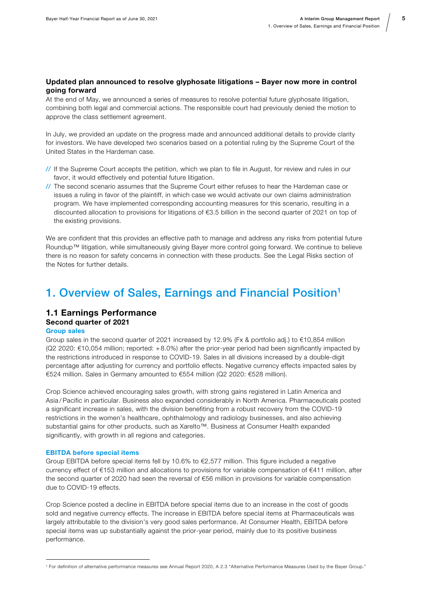#### <span id="page-4-0"></span>Updated plan announced to resolve glyphosate litigations – Bayer now more in control going forward

At the end of May, we announced a series of measures to resolve potential future glyphosate litigation, combining both legal and commercial actions. The responsible court had previously denied the motion to approve the class settlement agreement.

In July, we provided an update on the progress made and announced additional details to provide clarity for investors. We have developed two scenarios based on a potential ruling by the Supreme Court of the United States in the Hardeman case.

- // If the Supreme Court accepts the petition, which we plan to file in August, for review and rules in our favor, it would effectively end potential future litigation.
- // The second scenario assumes that the Supreme Court either refuses to hear the Hardeman case or issues a ruling in favor of the plaintiff, in which case we would activate our own claims administration program. We have implemented corresponding accounting measures for this scenario, resulting in a discounted allocation to provisions for litigations of €3.5 billion in the second quarter of 2021 on top of the existing provisions.

We are confident that this provides an effective path to manage and address any risks from potential future Roundup™ litigation, while simultaneously giving Bayer more control going forward. We continue to believe there is no reason for safety concerns in connection with these products. See the Legal Risks section of the Notes for further details.

### 1. Overview of Sales, Earnings and Financial Position<sup>1</sup>

#### 1.1 Earnings Performance Second quarter of 2021 Group sales

Group sales in the second quarter of 2021 increased by 12.9% (Fx & portfolio adj.) to €10,854 million (Q2 2020: €10,054 million; reported: + 8.0%) after the prior-year period had been significantly impacted by the restrictions introduced in response to COVID-19. Sales in all divisions increased by a double-digit percentage after adjusting for currency and portfolio effects. Negative currency effects impacted sales by €524 million. Sales in Germany amounted to €554 million (Q2 2020: €528 million).

Crop Science achieved encouraging sales growth, with strong gains registered in Latin America and Asia / Pacific in particular. Business also expanded considerably in North America. Pharmaceuticals posted a significant increase in sales, with the division benefiting from a robust recovery from the COVID-19 restrictions in the women's healthcare, ophthalmology and radiology businesses, and also achieving substantial gains for other products, such as Xarelto™. Business at Consumer Health expanded significantly, with growth in all regions and categories.

#### EBITDA before special items

Group EBITDA before special items fell by 10.6% to €2,577 million. This figure included a negative currency effect of €153 million and allocations to provisions for variable compensation of €411 million, after the second quarter of 2020 had seen the reversal of €56 million in provisions for variable compensation due to COVID-19 effects.

Crop Science posted a decline in EBITDA before special items due to an increase in the cost of goods sold and negative currency effects. The increase in EBITDA before special items at Pharmaceuticals was largely attributable to the division's very good sales performance. At Consumer Health, EBITDA before special items was up substantially against the prior-year period, mainly due to its positive business performance.

<sup>1</sup> For definition of alternative performance measures see Annual Report 2020, A 2.3 "Alternative Performance Measures Used by the Bayer Group."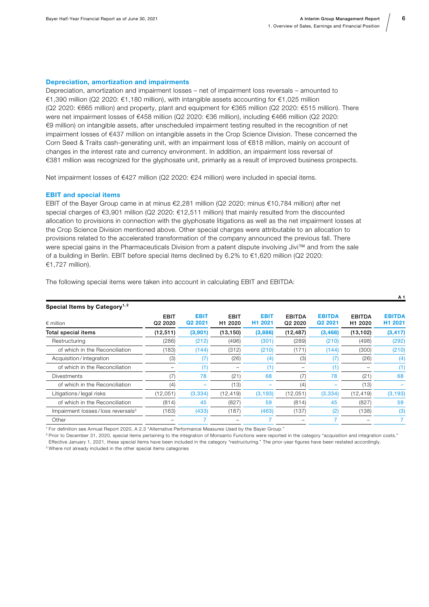#### Depreciation, amortization and impairments

Depreciation, amortization and impairment losses – net of impairment loss reversals – amounted to €1,390 million (Q2 2020: €1,180 million), with intangible assets accounting for €1,025 million (Q2 2020: €665 million) and property, plant and equipment for €365 million (Q2 2020: €515 million). There were net impairment losses of €458 million (Q2 2020: €36 million), including €466 million (Q2 2020: €9 million) on intangible assets, after unscheduled impairment testing resulted in the recognition of net impairment losses of €437 million on intangible assets in the Crop Science Division. These concerned the Corn Seed & Traits cash-generating unit, with an impairment loss of €818 million, mainly on account of changes in the interest rate and currency environment. In addition, an impairment loss reversal of €381 million was recognized for the glyphosate unit, primarily as a result of improved business prospects.

Net impairment losses of €427 million (Q2 2020: €24 million) were included in special items.

#### EBIT and special items

EBIT of the Bayer Group came in at minus €2,281 million (Q2 2020: minus €10,784 million) after net special charges of €3,901 million (Q2 2020: €12,511 million) that mainly resulted from the discounted allocation to provisions in connection with the glyphosate litigations as well as the net impairment losses at the Crop Science Division mentioned above. Other special charges were attributable to an allocation to provisions related to the accelerated transformation of the company announced the previous fall. There were special gains in the Pharmaceuticals Division from a patent dispute involving Jivi™ and from the sale of a building in Berlin. EBIT before special items declined by 6.2% to €1,620 million (Q2 2020: €1,727 million).

| Special Items by Category <sup>1,2</sup>      |                                                |                                    |                                    |                                    |                                      |                                      |                                      |                          |
|-----------------------------------------------|------------------------------------------------|------------------------------------|------------------------------------|------------------------------------|--------------------------------------|--------------------------------------|--------------------------------------|--------------------------|
| $\epsilon$ million                            | <b>EBIT</b><br>Q <sub>2</sub> 20 <sub>20</sub> | <b>EBIT</b><br>Q <sub>2</sub> 2021 | <b>EBIT</b><br>H <sub>1</sub> 2020 | <b>EBIT</b><br>H <sub>1</sub> 2021 | <b>EBITDA</b><br>Q <sub>2</sub> 2020 | <b>EBITDA</b><br>Q <sub>2</sub> 2021 | <b>EBITDA</b><br>H <sub>1</sub> 2020 | <b>EBITDA</b><br>H1 2021 |
| Total special items                           | (12, 511)                                      | (3,901)                            | (13, 150)                          | (3,886)                            | (12, 487)                            | (3, 468)                             | (13, 102)                            | (3, 417)                 |
| Restructuring                                 | (286)                                          | (212)                              | (496)                              | (301)                              | (289)                                | (210)                                | (498)                                | (292)                    |
| of which in the Reconciliation                | (183)                                          | (144)                              | (312)                              | (210)                              | (171)                                | (144)                                | (300)                                | (210)                    |
| Acquisition/integration                       | (3)                                            |                                    | (26)                               | (4)                                | (3)                                  | 7)                                   | (26)                                 | (4)                      |
| of which in the Reconciliation                |                                                |                                    |                                    | (1                                 |                                      | '1)                                  |                                      | (1)                      |
| <b>Divestments</b>                            | (7)                                            | 78                                 | (21)                               | 68                                 | (7)                                  | 78                                   | (21)                                 | 68                       |
| of which in the Reconciliation                | (4)                                            |                                    | (13)                               |                                    | (4)                                  |                                      | (13)                                 |                          |
| Litigations/legal risks                       | (12,051)                                       | (3,334)                            | (12, 419)                          | (3, 193)                           | (12,051)                             | (3, 334)                             | (12, 419)                            | (3, 193)                 |
| of which in the Reconciliation                | (814)                                          | 45                                 | (827)                              | 59                                 | (814)                                | 45                                   | (827)                                | 59                       |
| Impairment losses/loss reversals <sup>3</sup> | (163)                                          | (433)                              | (187)                              | (463)                              | (137)                                | (2)                                  | (138)                                | (3)                      |
| Other                                         |                                                |                                    |                                    |                                    |                                      |                                      |                                      |                          |

The following special items were taken into account in calculating EBIT and EBITDA:

1 For definition see Annual Report 2020, A 2.3 "Alternative Performance Measures Used by the Bayer Group."

<sup>2</sup> Prior to December 31, 2020, special items pertaining to the integration of Monsanto Functions were reported in the category "acquisition and integration costs." Effective January 1, 2021, these special items have been included in the category "restructuring." The prior-year figures have been restated accordingly.

<sup>3</sup> Where not already included in the other special items categories

A 1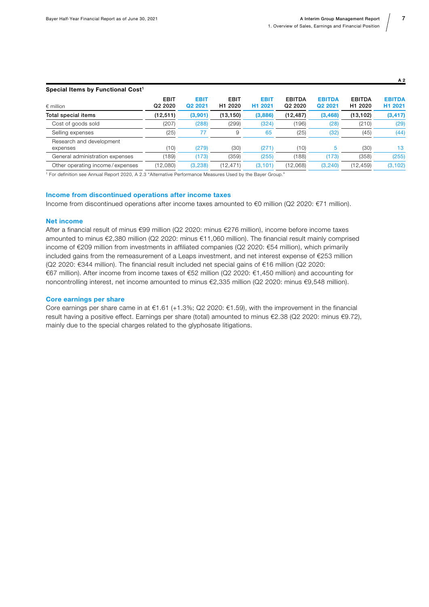| <b>EBIT</b><br>Q <sub>2</sub> 2020 | <b>EBIT</b><br>Q <sub>2</sub> 20 <sub>21</sub> | <b>EBIT</b><br>H <sub>1</sub> 2020 | <b>EBIT</b><br>H <sub>1</sub> 2021 | <b>EBITDA</b><br>Q <sub>2</sub> 20 <sub>20</sub> | <b>EBITDA</b><br>Q2 2021 | <b>EBITDA</b><br>H <sub>1</sub> 2020 | <b>EBITDA</b><br>H1 2021 |
|------------------------------------|------------------------------------------------|------------------------------------|------------------------------------|--------------------------------------------------|--------------------------|--------------------------------------|--------------------------|
| (12,511)                           | (3,901)                                        | (13, 150)                          | (3,886)                            | (12, 487)                                        | (3, 468)                 | (13, 102)                            | (3, 417)                 |
| (207)                              | (288)                                          | (299)                              | (324)                              | (196)                                            | (28)                     | (210)                                | (29)                     |
| (25)                               | 77                                             | 9                                  | 65                                 | (25)                                             | (32)                     | (45)                                 | (44)                     |
| (10)                               | (279)                                          | (30)                               | (271)                              | (10)                                             | 5                        | (30)                                 | 13                       |
| (189)                              | (173)                                          | (359)                              | (255)                              | (188)                                            | (173)                    | (358)                                | (255)                    |
| (12,080)                           | (3, 238)                                       | (12, 471)                          | (3, 101)                           | (12,068)                                         | (3, 240)                 | (12, 459)                            | (3, 102)                 |
|                                    |                                                |                                    |                                    |                                                  |                          |                                      |                          |

1 For definition see Annual Report 2020, A 2.3 "Alternative Performance Measures Used by the Bayer Group."

#### Income from discontinued operations after income taxes

Income from discontinued operations after income taxes amounted to €0 million (Q2 2020: €71 million).

#### Net income

After a financial result of minus €99 million (Q2 2020: minus €276 million), income before income taxes amounted to minus €2,380 million (Q2 2020: minus €11,060 million). The financial result mainly comprised income of €209 million from investments in affiliated companies (Q2 2020: €54 million), which primarily included gains from the remeasurement of a Leaps investment, and net interest expense of €253 million (Q2 2020: €344 million). The financial result included net special gains of €16 million (Q2 2020: €67 million). After income from income taxes of €52 million (Q2 2020: €1,450 million) and accounting for noncontrolling interest, net income amounted to minus €2,335 million (Q2 2020: minus €9,548 million).

#### Core earnings per share

Core earnings per share came in at €1.61 (+1.3%; Q2 2020: €1.59), with the improvement in the financial result having a positive effect. Earnings per share (total) amounted to minus €2.38 (Q2 2020: minus €9.72), mainly due to the special charges related to the glyphosate litigations.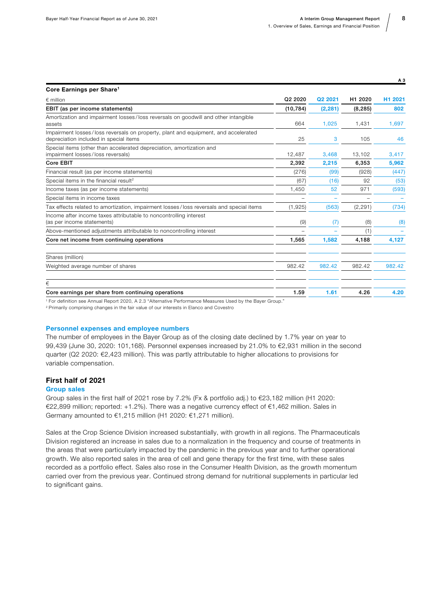| Core Earnings per Share <sup>1</sup>                                                                                         |           |          |          |         |
|------------------------------------------------------------------------------------------------------------------------------|-----------|----------|----------|---------|
| $\epsilon$ million                                                                                                           | Q2 2020   | Q2 2021  | H1 2020  | H1 2021 |
| EBIT (as per income statements)                                                                                              | (10, 784) | (2, 281) | (8, 285) | 802     |
| Amortization and impairment losses/loss reversals on goodwill and other intangible<br>assets                                 | 664       | 1,025    | 1,431    | 1,697   |
| Impairment losses/loss reversals on property, plant and equipment, and accelerated<br>depreciation included in special items | 25        | 3        | 105      | 46      |
| Special items (other than accelerated depreciation, amortization and<br>impairment losses/loss reversals)                    | 12,487    | 3,468    | 13,102   | 3,417   |
| Core EBIT                                                                                                                    | 2,392     | 2,215    | 6,353    | 5,962   |
| Financial result (as per income statements)                                                                                  | (276)     | (99)     | (928)    | (447)   |
| Special items in the financial result <sup>2</sup>                                                                           | (67)      | (16)     | 92       | (53)    |
| Income taxes (as per income statements)                                                                                      | 1,450     | 52       | 971      | (593)   |
| Special items in income taxes                                                                                                |           |          |          |         |
| Tax effects related to amortization, impairment losses/loss reversals and special items                                      | (1,925)   | (563)    | (2, 291) | (734)   |
| Income after income taxes attributable to noncontrolling interest<br>(as per income statements)                              | (9)       | (7)      | (8)      | (8)     |
| Above-mentioned adjustments attributable to noncontrolling interest                                                          |           |          | (1)      |         |
| Core net income from continuing operations                                                                                   | 1,565     | 1,582    | 4,188    | 4,127   |
| Shares (million)                                                                                                             |           |          |          |         |
| Weighted average number of shares                                                                                            | 982.42    | 982.42   | 982.42   | 982.42  |
| €                                                                                                                            |           |          |          |         |
| Core earnings per share from continuing operations                                                                           | 1.59      | 1.61     | 4.26     | 4.20    |
| <sup>1</sup> For definition see Annual Report 2020, A 2.3 "Alternative Performance Measures Used by the Bayer Group."        |           |          |          |         |

2 Primarily comprising changes in the fair value of our interests in Elanco and Covestro

#### Personnel expenses and employee numbers

The number of employees in the Bayer Group as of the closing date declined by 1.7% year on year to 99,439 (June 30, 2020: 101,168). Personnel expenses increased by 21.0% to €2,931 million in the second quarter (Q2 2020: €2,423 million). This was partly attributable to higher allocations to provisions for variable compensation.

#### First half of 2021

#### Group sales

Group sales in the first half of 2021 rose by 7.2% (Fx & portfolio adj.) to €23,182 million (H1 2020: €22,899 million; reported: +1.2%). There was a negative currency effect of €1,462 million. Sales in Germany amounted to €1,215 million (H1 2020: €1,271 million).

Sales at the Crop Science Division increased substantially, with growth in all regions. The Pharmaceuticals Division registered an increase in sales due to a normalization in the frequency and course of treatments in the areas that were particularly impacted by the pandemic in the previous year and to further operational growth. We also reported sales in the area of cell and gene therapy for the first time, with these sales recorded as a portfolio effect. Sales also rose in the Consumer Health Division, as the growth momentum carried over from the previous year. Continued strong demand for nutritional supplements in particular led to significant gains.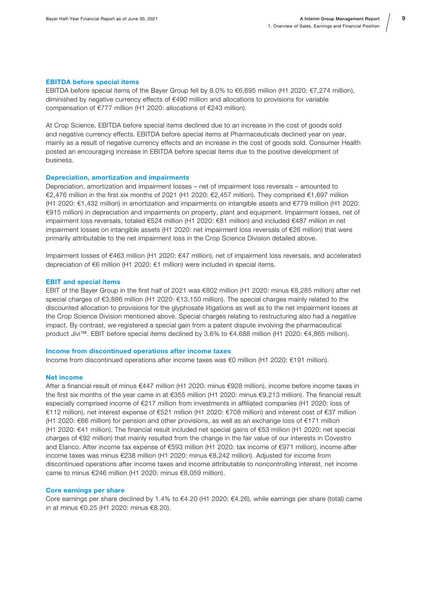#### EBITDA before special items

EBITDA before special items of the Bayer Group fell by 8.0% to €6,695 million (H1 2020: €7,274 million), diminished by negative currency effects of €490 million and allocations to provisions for variable compensation of €777 million (H1 2020: allocations of €243 million).

At Crop Science, EBITDA before special items declined due to an increase in the cost of goods sold and negative currency effects. EBITDA before special items at Pharmaceuticals declined year on year, mainly as a result of negative currency effects and an increase in the cost of goods sold. Consumer Health posted an encouraging increase in EBITDA before special items due to the positive development of business.

#### Depreciation, amortization and impairments

Depreciation, amortization and impairment losses – net of impairment loss reversals – amounted to €2,476 million in the first six months of 2021 (H1 2020: €2,457 million). They comprised €1,697 million (H1 2020: €1,432 million) in amortization and impairments on intangible assets and €779 million (H1 2020: €915 million) in depreciation and impairments on property, plant and equipment. Impairment losses, net of impairment loss reversals, totaled €524 million (H1 2020: €81 million) and included €487 million in net impairment losses on intangible assets (H1 2020: net impairment loss reversals of €26 million) that were primarily attributable to the net impairment loss in the Crop Science Division detailed above.

Impairment losses of €463 million (H1 2020: €47 million), net of impairment loss reversals, and accelerated depreciation of €6 million (H1 2020: €1 million) were included in special items.

#### EBIT and special items

EBIT of the Bayer Group in the first half of 2021 was €802 million (H1 2020: minus €8,285 million) after net special charges of €3,886 million (H1 2020: €13,150 million). The special charges mainly related to the discounted allocation to provisions for the glyphosate litigations as well as to the net impairment losses at the Crop Science Division mentioned above. Special charges relating to restructuring also had a negative impact. By contrast, we registered a special gain from a patent dispute involving the pharmaceutical product Jivi™. EBIT before special items declined by 3.6% to €4,688 million (H1 2020: €4,865 million).

#### Income from discontinued operations after income taxes

Income from discontinued operations after income taxes was €0 million (H1 2020: €191 million).

#### Net income

After a financial result of minus €447 million (H1 2020: minus €928 million), income before income taxes in the first six months of the year came in at €355 million (H1 2020: minus €9,213 million). The financial result especially comprised income of €217 million from investments in affiliated companies (H1 2020: loss of €112 million), net interest expense of €521 million (H1 2020: €708 million) and interest cost of €37 million (H1 2020: €66 million) for pension and other provisions, as well as an exchange loss of €171 million (H1 2020: €41 million). The financial result included net special gains of €53 million (H1 2020: net special charges of €92 million) that mainly resulted from the change in the fair value of our interests in Covestro and Elanco. After income tax expense of €593 million (H1 2020: tax income of €971 million), income after income taxes was minus €238 million (H1 2020: minus €8,242 million). Adjusted for income from discontinued operations after income taxes and income attributable to noncontrolling interest, net income came to minus €246 million (H1 2020: minus €8,059 million).

#### Core earnings per share

Core earnings per share declined by 1.4% to €4.20 (H1 2020: €4.26), while earnings per share (total) came in at minus €0.25 (H1 2020: minus €8.20).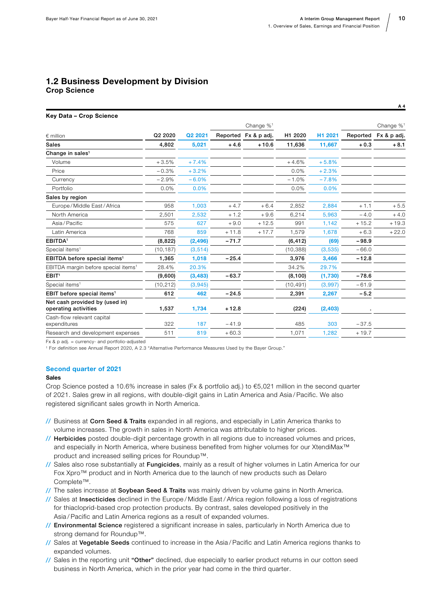#### <span id="page-9-0"></span>1.2 Business Development by Division Crop Science

#### Key Data – Crop Science

|                                                        |                                 |          |         | Change % <sup>1</sup> |           |          |          | Change % <sup>1</sup> |
|--------------------------------------------------------|---------------------------------|----------|---------|-----------------------|-----------|----------|----------|-----------------------|
| $∈$ million                                            | Q <sub>2</sub> 20 <sub>20</sub> | Q2 2021  |         | Reported Fx & p adj.  | H1 2020   | H1 2021  | Reported | Fx & p adj.           |
| <b>Sales</b>                                           | 4,802                           | 5,021    | $+4.6$  | $+10.6$               | 11,636    | 11,667   | $+0.3$   | $+8.1$                |
| Change in sales <sup>1</sup>                           |                                 |          |         |                       |           |          |          |                       |
| Volume                                                 | $+3.5%$                         | $+7.4%$  |         |                       | $+4.6%$   | $+5.8%$  |          |                       |
| Price                                                  | $-0.3%$                         | $+3.2%$  |         |                       | 0.0%      | $+2.3%$  |          |                       |
| Currency                                               | $-2.9%$                         | $-6.0%$  |         |                       | $-1.0%$   | $-7.8%$  |          |                       |
| Portfolio                                              | 0.0%                            | 0.0%     |         |                       | 0.0%      | 0.0%     |          |                       |
| Sales by region                                        |                                 |          |         |                       |           |          |          |                       |
| Europe / Middle East / Africa                          | 958                             | 1.003    | $+4.7$  | $+6.4$                | 2,852     | 2,884    | $+1.1$   | $+5.5$                |
| North America                                          | 2,501                           | 2,532    | $+1.2$  | $+9.6$                | 6,214     | 5,963    | $-4.0$   | $+4.0$                |
| Asia/Pacific                                           | 575                             | 627      | $+9.0$  | $+12.5$               | 991       | 1,142    | $+15.2$  | $+19.3$               |
| Latin America                                          | 768                             | 859      | $+11.8$ | $+17.7$               | 1,579     | 1,678    | $+6.3$   | $+22.0$               |
| EBITDA <sup>1</sup>                                    | (8, 822)                        | (2, 496) | $-71.7$ |                       | (6, 412)  | (69)     | $-98.9$  |                       |
| Special items <sup>1</sup>                             | (10, 187)                       | (3, 514) |         |                       | (10, 388) | (3,535)  | $-66.0$  |                       |
| EBITDA before special items <sup>1</sup>               | 1,365                           | 1,018    | $-25.4$ |                       | 3,976     | 3,466    | $-12.8$  |                       |
| EBITDA margin before special items <sup>1</sup>        | 28.4%                           | 20.3%    |         |                       | 34.2%     | 29.7%    |          |                       |
| EBIT <sup>1</sup>                                      | (9,600)                         | (3, 483) | $-63.7$ |                       | (8, 100)  | (1,730)  | $-78.6$  |                       |
| Special items <sup>1</sup>                             | (10, 212)                       | (3,945)  |         |                       | (10, 491) | (3,997)  | $-61.9$  |                       |
| EBIT before special items <sup>1</sup>                 | 612                             | 462      | $-24.5$ |                       | 2,391     | 2,267    | $-5.2$   |                       |
| Net cash provided by (used in)<br>operating activities | 1,537                           | 1,734    | $+12.8$ |                       | (224)     | (2, 403) |          |                       |
| Cash-flow relevant capital<br>expenditures             | 322                             | 187      | $-41.9$ |                       | 485       | 303      | $-37.5$  |                       |
| Research and development expenses                      | 511                             | 819      | $+60.3$ |                       | 1,071     | 1,282    | $+19.7$  |                       |
|                                                        |                                 |          |         |                       |           |          |          |                       |

Fx & p adj. = currency- and portfolio-adjusted

1 For definition see Annual Report 2020, A 2.3 "Alternative Performance Measures Used by the Bayer Group."

#### Second quarter of 2021

#### Sales

Crop Science posted a 10.6% increase in sales (Fx & portfolio adj.) to €5,021 million in the second quarter of 2021. Sales grew in all regions, with double-digit gains in Latin America and Asia / Pacific. We also registered significant sales growth in North America.

- // Business at Corn Seed & Traits expanded in all regions, and especially in Latin America thanks to volume increases. The growth in sales in North America was attributable to higher prices.
- // Herbicides posted double-digit percentage growth in all regions due to increased volumes and prices, and especially in North America, where business benefited from higher volumes for our XtendiMax™ product and increased selling prices for Roundup™.
- // Sales also rose substantially at Fungicides, mainly as a result of higher volumes in Latin America for our Fox Xpro™ product and in North America due to the launch of new products such as Delaro Complete™.
- // The sales increase at Soybean Seed & Traits was mainly driven by volume gains in North America.
- // Sales at Insecticides declined in the Europe / Middle East / Africa region following a loss of registrations for thiacloprid-based crop protection products. By contrast, sales developed positively in the Asia / Pacific and Latin America regions as a result of expanded volumes.
- // Environmental Science registered a significant increase in sales, particularly in North America due to strong demand for Roundup™.
- // Sales at Vegetable Seeds continued to increase in the Asia / Pacific and Latin America regions thanks to expanded volumes.
- // Sales in the reporting unit "Other" declined, due especially to earlier product returns in our cotton seed business in North America, which in the prior year had come in the third quarter.

A 4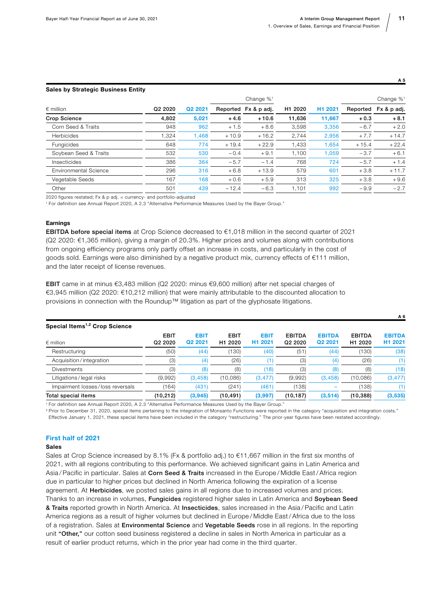A 6

|                              |                                 |         |         | Change $\%$ <sup>1</sup> | H <sub>1</sub> 2020 | H <sub>1</sub> 2021 |          | Change $\%$ <sup>1</sup><br>Fx & p adj. |
|------------------------------|---------------------------------|---------|---------|--------------------------|---------------------|---------------------|----------|-----------------------------------------|
| $\epsilon$ million           | Q <sub>2</sub> 20 <sub>20</sub> | Q2 2021 |         | Reported Fx & p adj.     |                     |                     | Reported |                                         |
| <b>Crop Science</b>          | 4,802                           | 5,021   | $+4.6$  | $+10.6$                  | 11,636              | 11,667              | $+0.3$   | $+8.1$                                  |
| Corn Seed & Traits           | 948                             | 962     | $+1.5$  | $+8.6$                   | 3,598               | 3,356               | $-6.7$   | $+2.0$                                  |
| <b>Herbicides</b>            | 1.324                           | 1.468   | $+10.9$ | $+16.2$                  | 2.744               | 2,956               | $+7.7$   | $+14.7$                                 |
| Fungicides                   | 648                             | 774     | $+19.4$ | $+22.9$                  | 1,433               | 1,654               | $+15.4$  | $+22.4$                                 |
| Soybean Seed & Traits        | 532                             | 530     | $-0.4$  | $+9.1$                   | 1.100               | 1,059               | $-3.7$   | $+6.1$                                  |
| Insecticides                 | 386                             | 364     | $-5.7$  | $-1.4$                   | 768                 | 724                 | $-5.7$   | $+1.4$                                  |
| <b>Environmental Science</b> | 296                             | 316     | $+6.8$  | $+13.9$                  | 579                 | 601                 | $+3.8$   | $+11.7$                                 |
| Vegetable Seeds              | 167                             | 168     | $+0.6$  | $+5.9$                   | 313                 | 325                 | $+3.8$   | $+9.6$                                  |
| Other                        | 501                             | 439     | $-12.4$ | $-6.3$                   | 1.101               | 992                 | $-9.9$   | $-2.7$                                  |

Sales by Strategic Business Entity

2020 figures restated; Fx & p adj. = currency- and portfolio-adjusted

1 For definition see Annual Report 2020, A 2.3 "Alternative Performance Measures Used by the Bayer Group."

#### **Earnings**

EBITDA before special items at Crop Science decreased to €1,018 million in the second quarter of 2021 (Q2 2020: €1,365 million), giving a margin of 20.3%. Higher prices and volumes along with contributions from ongoing efficiency programs only partly offset an increase in costs, and particularly in the cost of goods sold. Earnings were also diminished by a negative product mix, currency effects of €111 million, and the later receipt of license revenues.

EBIT came in at minus €3,483 million (Q2 2020: minus €9,600 million) after net special charges of €3,945 million (Q2 2020: €10,212 million) that were mainly attributable to the discounted allocation to provisions in connection with the Roundup™ litigation as part of the glyphosate litigations.

| Special Items <sup>1,2</sup> Crop Science |                                                |                                    |                                    |                                    |                                                  |                          |                                      |                                      |
|-------------------------------------------|------------------------------------------------|------------------------------------|------------------------------------|------------------------------------|--------------------------------------------------|--------------------------|--------------------------------------|--------------------------------------|
| $\epsilon$ million                        | <b>EBIT</b><br>Q <sub>2</sub> 20 <sub>20</sub> | <b>EBIT</b><br>Q <sub>2</sub> 2021 | <b>EBIT</b><br>H <sub>1</sub> 2020 | <b>EBIT</b><br>H <sub>1</sub> 2021 | <b>EBITDA</b><br>Q <sub>2</sub> 20 <sub>20</sub> | <b>EBITDA</b><br>Q2 2021 | <b>EBITDA</b><br>H <sub>1</sub> 2020 | <b>EBITDA</b><br>H <sub>1</sub> 2021 |
| Restructuring                             | (50)                                           | (44)                               | (130)                              | (40)                               | (51)                                             | (44)                     | (130)                                | (38)                                 |
| Acquisition/integration                   | (3)                                            | (4)                                | (26)                               | (1)                                | (3)                                              | (4)                      | (26)                                 | (1)                                  |
| <b>Divestments</b>                        | (3)                                            | (8)                                | (8)                                | (18)                               | (3)                                              | (8)                      | (8)                                  | (18)                                 |
| Litigations/legal risks                   | (9,992)                                        | (3, 458)                           | (10,086)                           | (3, 477)                           | (9,992)                                          | (3, 458)                 | (10,086)                             | (3, 477)                             |
| Impairment losses/loss reversals          | (164)                                          | (431)                              | (241)                              | (461)                              | (138)                                            |                          | (138)                                |                                      |
| Total special items                       | (10, 212)                                      | (3,945)                            | (10, 491)                          | (3,997)                            | (10, 187)                                        | (3, 514)                 | (10, 388)                            | (3,535)                              |

1 For definition see Annual Report 2020, A 2.3 "Alternative Performance Measures Used by the Bayer Group."

<sup>2</sup> Prior to December 31, 2020, special items pertaining to the integration of Monsanto Functions were reported in the category "acquisition and integration costs." Effective January 1, 2021, these special items have been included in the category "restructuring." The prior-year figures have been restated accordingly.

#### First half of 2021

#### Sales

Sales at Crop Science increased by 8.1% (Fx & portfolio adj.) to €11,667 million in the first six months of 2021, with all regions contributing to this performance. We achieved significant gains in Latin America and Asia / Pacific in particular. Sales at Corn Seed & Traits increased in the Europe / Middle East / Africa region due in particular to higher prices but declined in North America following the expiration of a license agreement. At Herbicides, we posted sales gains in all regions due to increased volumes and prices.

Thanks to an increase in volumes, Fungicides registered higher sales in Latin America and Soybean Seed & Traits reported growth in North America. At Insecticides, sales increased in the Asia / Pacific and Latin America regions as a result of higher volumes but declined in Europe / Middle East / Africa due to the loss of a registration. Sales at *Environmental Science and Vegetable Seeds rose in all regions. In the reporting* unit "Other," our cotton seed business registered a decline in sales in North America in particular as a result of earlier product returns, which in the prior year had come in the third quarter.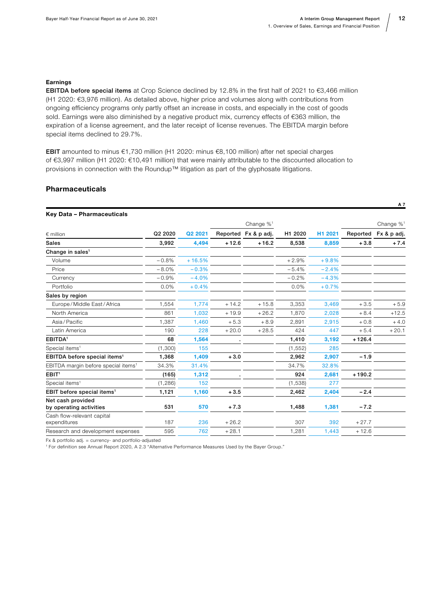#### Earnings

EBITDA before special items at Crop Science declined by 12.8% in the first half of 2021 to €3,466 million (H1 2020: €3,976 million). As detailed above, higher price and volumes along with contributions from ongoing efficiency programs only partly offset an increase in costs, and especially in the cost of goods sold. Earnings were also diminished by a negative product mix, currency effects of €363 million, the expiration of a license agreement, and the later receipt of license revenues. The EBITDA margin before special items declined to 29.7%.

EBIT amounted to minus €1,730 million (H1 2020: minus €8,100 million) after net special charges of €3,997 million (H1 2020: €10,491 million) that were mainly attributable to the discounted allocation to provisions in connection with the Roundup™ litigation as part of the glyphosate litigations.

#### Pharmaceuticals

| Key Data - Pharmaceuticals                      |         |          |         |                          |          |         |          |                          |
|-------------------------------------------------|---------|----------|---------|--------------------------|----------|---------|----------|--------------------------|
|                                                 |         |          |         | Change $\%$ <sup>1</sup> |          |         |          | Change $\%$ <sup>1</sup> |
| $\epsilon$ million                              | Q2 2020 | Q2 2021  |         | Reported Fx & p adj.     | H1 2020  | H1 2021 | Reported | Fx & p adj.              |
| <b>Sales</b>                                    | 3,992   | 4,494    | $+12.6$ | $+16.2$                  | 8,538    | 8.859   | $+3.8$   | $+7.4$                   |
| Change in sales <sup>1</sup>                    |         |          |         |                          |          |         |          |                          |
| Volume                                          | $-0.8%$ | $+16.5%$ |         |                          | $+2.9%$  | $+9.8%$ |          |                          |
| Price                                           | $-8.0%$ | $-0.3%$  |         |                          | $-5.4%$  | $-2.4%$ |          |                          |
| Currency                                        | $-0.9%$ | $-4.0%$  |         |                          | $-0.2%$  | $-4.3%$ |          |                          |
| Portfolio                                       | 0.0%    | $+0.4%$  |         |                          | 0.0%     | $+0.7%$ |          |                          |
| Sales by region                                 |         |          |         |                          |          |         |          |                          |
| Europe / Middle East / Africa                   | 1,554   | 1.774    | $+14.2$ | $+15.8$                  | 3.353    | 3.469   | $+3.5$   | $+5.9$                   |
| North America                                   | 861     | 1.032    | $+19.9$ | $+26.2$                  | 1.870    | 2,028   | $+8.4$   | $+12.5$                  |
| Asia/Pacific                                    | 1,387   | 1,460    | $+5.3$  | $+8.9$                   | 2,891    | 2,915   | $+0.8$   | $+4.0$                   |
| Latin America                                   | 190     | 228      | $+20.0$ | $+28.5$                  | 424      | 447     | $+5.4$   | $+20.1$                  |
| EBITDA <sup>1</sup>                             | 68      | 1,564    |         |                          | 1,410    | 3,192   | $+126.4$ |                          |
| Special items <sup>1</sup>                      | (1,300) | 155      |         |                          | (1, 552) | 285     |          |                          |
| EBITDA before special items <sup>1</sup>        | 1,368   | 1,409    | $+3.0$  |                          | 2,962    | 2,907   | $-1.9$   |                          |
| EBITDA margin before special items <sup>1</sup> | 34.3%   | 31.4%    |         |                          | 34.7%    | 32.8%   |          |                          |
| EBIT <sup>1</sup>                               | (165)   | 1.312    |         |                          | 924      | 2,681   | $+190.2$ |                          |
| Special items <sup>1</sup>                      | (1,286) | 152      |         |                          | (1,538)  | 277     |          |                          |
| EBIT before special items <sup>1</sup>          | 1,121   | 1,160    | $+3.5$  |                          | 2,462    | 2,404   | $-2.4$   |                          |
| Net cash provided<br>by operating activities    | 531     | 570      | $+7.3$  |                          | 1,488    | 1,381   | $-7.2$   |                          |
| Cash flow-relevant capital<br>expenditures      | 187     | 236      | $+26.2$ |                          | 307      | 392     | $+27.7$  |                          |
| Research and development expenses               | 595     | 762      | $+28.1$ |                          | 1,281    | 1,443   | $+12.6$  |                          |

Fx & portfolio adj. = currency- and portfolio-adjusted

1 For definition see Annual Report 2020, A 2.3 "Alternative Performance Measures Used by the Bayer Group."

A 7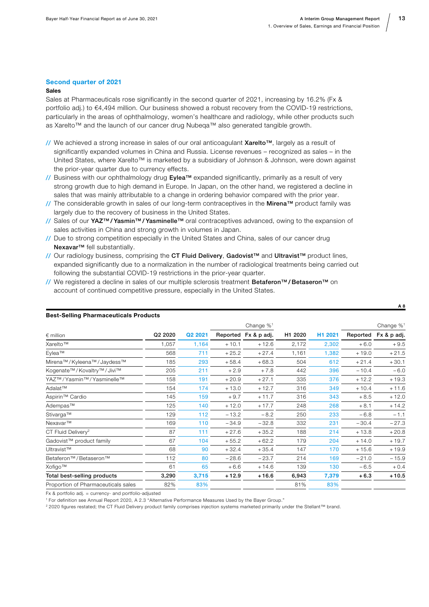#### Second quarter of 2021

#### Sales

Sales at Pharmaceuticals rose significantly in the second quarter of 2021, increasing by 16.2% (Fx & portfolio adj.) to €4,494 million. Our business showed a robust recovery from the COVID-19 restrictions, particularly in the areas of ophthalmology, women's healthcare and radiology, while other products such as Xarelto™ and the launch of our cancer drug Nubeqa™ also generated tangible growth.

- // We achieved a strong increase in sales of our oral anticoagulant Xarelto™, largely as a result of significantly expanded volumes in China and Russia. License revenues – recognized as sales – in the United States, where Xarelto™ is marketed by a subsidiary of Johnson & Johnson, were down against the prior-year quarter due to currency effects.
- // Business with our ophthalmology drug Eylea™ expanded significantly, primarily as a result of very strong growth due to high demand in Europe. In Japan, on the other hand, we registered a decline in sales that was mainly attributable to a change in ordering behavior compared with the prior year.
- // The considerable growth in sales of our long-term contraceptives in the Mirena™ product family was largely due to the recovery of business in the United States.
- // Sales of our YAZ<sup>™</sup> / Yasmin<sup>™</sup> / Yasminelle<sup>™</sup> oral contraceptives advanced, owing to the expansion of sales activities in China and strong growth in volumes in Japan.
- // Due to strong competition especially in the United States and China, sales of our cancer drug Nexavar<sup>™</sup> fell substantially.
- // Our radiology business, comprising the CT Fluid Delivery, Gadovist™ and Ultravist™ product lines, expanded significantly due to a normalization in the number of radiological treatments being carried out following the substantial COVID-19 restrictions in the prior-year quarter.
- // We registered a decline in sales of our multiple sclerosis treatment Betaferon™ / Betaseron™ on account of continued competitive pressure, especially in the United States.

|                                                 |                     |         |         | Change % <sup>1</sup> |         |         |          | Change % <sup>1</sup> |
|-------------------------------------------------|---------------------|---------|---------|-----------------------|---------|---------|----------|-----------------------|
| $\epsilon$ million                              | Q <sub>2</sub> 2020 | Q2 2021 |         | Reported Fx & p adj.  | H1 2020 | H1 2021 | Reported | Fx & p adj.           |
| Xarelto™                                        | 1,057               | 1,164   | $+10.1$ | $+12.6$               | 2,172   | 2,302   | $+6.0$   | $+9.5$                |
| Eylea™                                          | 568                 | 711     | $+25.2$ | $+27.4$               | 1,161   | 1,382   | $+19.0$  | $+21.5$               |
| Mirena™/Kyleena™/Jaydess™                       | 185                 | 293     | $+58.4$ | $+68.3$               | 504     | 612     | $+21.4$  | $+30.1$               |
| Kogenate™/Kovaltry™/Jivi™                       | 205                 | 211     | $+2.9$  | $+7.8$                | 442     | 396     | $-10.4$  | $-6.0$                |
| YAZ™/Yasmin™/Yasminelle™                        | 158                 | 191     | $+20.9$ | $+27.1$               | 335     | 376     | $+12.2$  | $+19.3$               |
| Adalat™                                         | 154                 | 174     | $+13.0$ | $+12.7$               | 316     | 349     | $+10.4$  | $+11.6$               |
| Aspirin <sup>™</sup> Cardio                     | 145                 | 159     | $+9.7$  | $+11.7$               | 316     | 343     | $+8.5$   | $+12.0$               |
| Adempas™                                        | 125                 | 140     | $+12.0$ | $+17.7$               | 248     | 268     | $+8.1$   | $+14.2$               |
| Stivarga™                                       | 129                 | 112     | $-13.2$ | $-8.2$                | 250     | 233     | $-6.8$   | $-1.1$                |
| Nexavar™                                        | 169                 | 110     | $-34.9$ | $-32.8$               | 332     | 231     | $-30.4$  | $-27.3$               |
| CT Fluid Delivery <sup>2</sup>                  | 87                  | 111     | $+27.6$ | $+35.2$               | 188     | 214     | $+13.8$  | $+20.8$               |
| Gadovist™ product family                        | 67                  | 104     | $+55.2$ | $+62.2$               | 179     | 204     | $+14.0$  | $+19.7$               |
| Ultravist™                                      | 68                  | 90      | $+32.4$ | $+35.4$               | 147     | 170     | $+15.6$  | $+19.9$               |
| Betaferon <sup>™</sup> / Betaseron <sup>™</sup> | 112                 | 80      | $-28.6$ | $-23.7$               | 214     | 169     | $-21.0$  | $-15.9$               |
| Xofigo™                                         | 61                  | 65      | $+6.6$  | $+14.6$               | 139     | 130     | $-6.5$   | $+0.4$                |
| Total best-selling products                     | 3,290               | 3,715   | $+12.9$ | $+16.6$               | 6,943   | 7,379   | $+6.3$   | $+10.5$               |
| Proportion of Pharmaceuticals sales             | 82%                 | 83%     |         |                       | 81%     | 83%     |          |                       |

#### Best-Selling Pharmaceuticals Products

Fx & portfolio adj. = currency- and portfolio-adjusted

1 For definition see Annual Report 2020, A 2.3 "Alternative Performance Measures Used by the Bayer Group."

2 2020 figures restated; the CT Fluid Delivery product family comprises injection systems marketed primarily under the Stellant™ brand.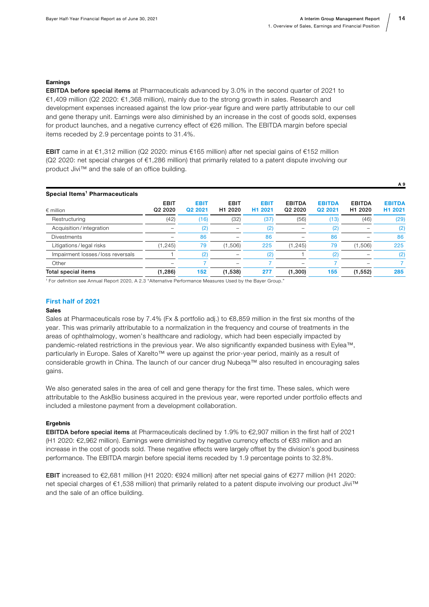#### Earnings

EBITDA before special items at Pharmaceuticals advanced by 3.0% in the second quarter of 2021 to €1,409 million (Q2 2020: €1,368 million), mainly due to the strong growth in sales. Research and development expenses increased against the low prior-year figure and were partly attributable to our cell and gene therapy unit. Earnings were also diminished by an increase in the cost of goods sold, expenses for product launches, and a negative currency effect of €26 million. The EBITDA margin before special items receded by 2.9 percentage points to 31.4%.

EBIT came in at €1,312 million (Q2 2020: minus €165 million) after net special gains of €152 million (Q2 2020: net special charges of €1,286 million) that primarily related to a patent dispute involving our product Jivi™ and the sale of an office building.

| Special Items <sup>1</sup> Pharmaceuticals |                                                |                                    |                                    |                                    |                                      |                          |                                      | н э                                  |
|--------------------------------------------|------------------------------------------------|------------------------------------|------------------------------------|------------------------------------|--------------------------------------|--------------------------|--------------------------------------|--------------------------------------|
| $\epsilon$ million                         | <b>EBIT</b><br>Q <sub>2</sub> 20 <sub>20</sub> | <b>EBIT</b><br>Q <sub>2</sub> 2021 | <b>EBIT</b><br>H <sub>1</sub> 2020 | <b>EBIT</b><br>H <sub>1</sub> 2021 | <b>EBITDA</b><br>Q <sub>2</sub> 2020 | <b>EBITDA</b><br>Q2 2021 | <b>EBITDA</b><br>H <sub>1</sub> 2020 | <b>EBITDA</b><br>H <sub>1</sub> 2021 |
| Restructuring                              | (42)                                           | (16)                               | (32)                               | (37)                               | (56)                                 | (13)                     | (46)                                 | (29)                                 |
| Acquisition/integration                    | -                                              | $\left( 2\right)$                  |                                    | (2)                                |                                      | (2)                      |                                      | (2)                                  |
| <b>Divestments</b>                         | -                                              | 86                                 |                                    | 86                                 |                                      | 86                       |                                      | 86                                   |
| Litigations/legal risks                    | (1, 245)                                       | 79                                 | (1,506)                            | 225                                | (1, 245)                             | 79                       | (1,506)                              | 225                                  |
| Impairment losses/loss reversals           |                                                |                                    |                                    | (2                                 |                                      | (2)                      |                                      | (2)                                  |
| Other                                      |                                                |                                    |                                    |                                    | -                                    |                          |                                      |                                      |
| Total special items                        | (1, 286)                                       | 152                                | (1,538)                            | 277                                | (1,300)                              | 155                      | (1, 552)                             | 285                                  |

1 For definition see Annual Report 2020, A 2.3 "Alternative Performance Measures Used by the Bayer Group."

#### First half of 2021

#### Sales

Sales at Pharmaceuticals rose by 7.4% (Fx & portfolio adj.) to  $\epsilon$ 8,859 million in the first six months of the year. This was primarily attributable to a normalization in the frequency and course of treatments in the areas of ophthalmology, women's healthcare and radiology, which had been especially impacted by pandemic-related restrictions in the previous year. We also significantly expanded business with Eylea™, particularly in Europe. Sales of Xarelto™ were up against the prior-year period, mainly as a result of considerable growth in China. The launch of our cancer drug Nubeqa™ also resulted in encouraging sales gains.

We also generated sales in the area of cell and gene therapy for the first time. These sales, which were attributable to the AskBio business acquired in the previous year, were reported under portfolio effects and included a milestone payment from a development collaboration.

#### **Ergebnis**

EBITDA before special items at Pharmaceuticals declined by 1.9% to  $\epsilon$ 2,907 million in the first half of 2021 (H1 2020: €2,962 million). Earnings were diminished by negative currency effects of €83 million and an increase in the cost of goods sold. These negative effects were largely offset by the division's good business performance. The EBITDA margin before special items receded by 1.9 percentage points to 32.8%.

EBIT increased to €2,681 million (H1 2020: €924 million) after net special gains of €277 million (H1 2020: net special charges of €1,538 million) that primarily related to a patent dispute involving our product Jivi™ and the sale of an office building.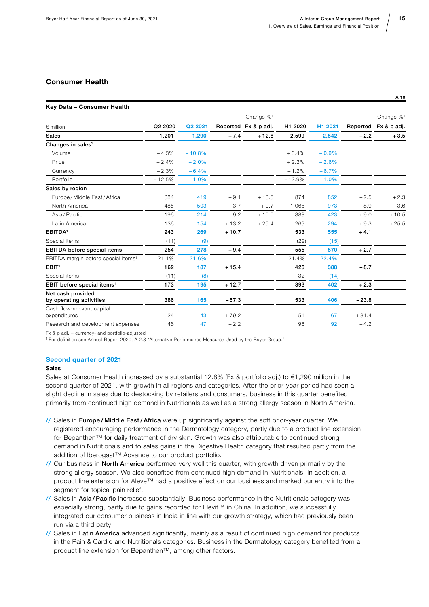#### Consumer Health

#### Key Data – Consumer Health

|                                                 |          |          |         | Change % <sup>1</sup> |          |         |          | Change $\%$ <sup>1</sup> |
|-------------------------------------------------|----------|----------|---------|-----------------------|----------|---------|----------|--------------------------|
| $\epsilon$ million                              | Q2 2020  | Q2 2021  |         | Reported Fx & p adj.  | H1 2020  | H1 2021 | Reported | Fx & p adj.              |
| <b>Sales</b>                                    | 1,201    | 1,290    | $+7.4$  | $+12.8$               | 2,599    | 2,542   | $-2.2$   | $+3.5$                   |
| Changes in sales <sup>1</sup>                   |          |          |         |                       |          |         |          |                          |
| Volume                                          | $-4.3%$  | $+10.8%$ |         |                       | $+3.4%$  | $+0.9%$ |          |                          |
| Price                                           | $+2.4%$  | $+2.0%$  |         |                       | $+2.3%$  | $+2.6%$ |          |                          |
| Currency                                        | $-2.3%$  | $-6.4%$  |         |                       | $-1.2%$  | $-6.7%$ |          |                          |
| Portfolio                                       | $-12.5%$ | $+1.0%$  |         |                       | $-12.9%$ | $+1.0%$ |          |                          |
| Sales by region                                 |          |          |         |                       |          |         |          |                          |
| Europe / Middle East / Africa                   | 384      | 419      | $+9.1$  | $+13.5$               | 874      | 852     | $-2.5$   | $+2.3$                   |
| North America                                   | 485      | 503      | $+3.7$  | $+9.7$                | 1,068    | 973     | $-8.9$   | $-3.6$                   |
| Asia/Pacific                                    | 196      | 214      | $+9.2$  | $+10.0$               | 388      | 423     | $+9.0$   | $+10.5$                  |
| Latin America                                   | 136      | 154      | $+13.2$ | $+25.4$               | 269      | 294     | $+9.3$   | $+25.5$                  |
| EBITDA <sup>1</sup>                             | 243      | 269      | $+10.7$ |                       | 533      | 555     | $+4.1$   |                          |
| Special items <sup>1</sup>                      | (11)     | (9)      |         |                       | (22)     | (15)    |          |                          |
| EBITDA before special items <sup>1</sup>        | 254      | 278      | $+9.4$  |                       | 555      | 570     | $+2.7$   |                          |
| EBITDA margin before special items <sup>1</sup> | 21.1%    | 21.6%    |         |                       | 21.4%    | 22.4%   |          |                          |
| EBIT <sup>1</sup>                               | 162      | 187      | $+15.4$ |                       | 425      | 388     | $-8.7$   |                          |
| Special items <sup>1</sup>                      | (11)     | (8)      |         |                       | 32       | (14)    |          |                          |
| EBIT before special items <sup>1</sup>          | 173      | 195      | $+12.7$ |                       | 393      | 402     | $+2.3$   |                          |
| Net cash provided<br>by operating activities    | 386      | 165      | $-57.3$ |                       | 533      | 406     | $-23.8$  |                          |
| Cash flow-relevant capital<br>expenditures      | 24       | 43       | $+79.2$ |                       | 51       | 67      | $+31.4$  |                          |
| Research and development expenses               | 46       | 47       | $+2.2$  |                       | 96       | 92      | $-4.2$   |                          |
|                                                 |          |          |         |                       |          |         |          |                          |

 $Fx$  & p adj. = currency- and portfolio-adjusted

1 For definition see Annual Report 2020, A 2.3 "Alternative Performance Measures Used by the Bayer Group."

#### Second quarter of 2021

#### Sales

Sales at Consumer Health increased by a substantial 12.8% (Fx & portfolio adj.) to €1,290 million in the second quarter of 2021, with growth in all regions and categories. After the prior-year period had seen a slight decline in sales due to destocking by retailers and consumers, business in this quarter benefited primarily from continued high demand in Nutritionals as well as a strong allergy season in North America.

- // Sales in Europe / Middle East / Africa were up significantly against the soft prior-year quarter. We registered encouraging performance in the Dermatology category, partly due to a product line extension for Bepanthen™ for daily treatment of dry skin. Growth was also attributable to continued strong demand in Nutritionals and to sales gains in the Digestive Health category that resulted partly from the addition of Iberogast™ Advance to our product portfolio.
- // Our business in North America performed very well this quarter, with growth driven primarily by the strong allergy season. We also benefited from continued high demand in Nutritionals. In addition, a product line extension for Aleve™ had a positive effect on our business and marked our entry into the segment for topical pain relief.
- // Sales in Asia/Pacific increased substantially. Business performance in the Nutritionals category was especially strong, partly due to gains recorded for Elevit™ in China. In addition, we successfully integrated our consumer business in India in line with our growth strategy, which had previously been run via a third party.
- // Sales in Latin America advanced significantly, mainly as a result of continued high demand for products in the Pain & Cardio and Nutritionals categories. Business in the Dermatology category benefited from a product line extension for Bepanthen™, among other factors.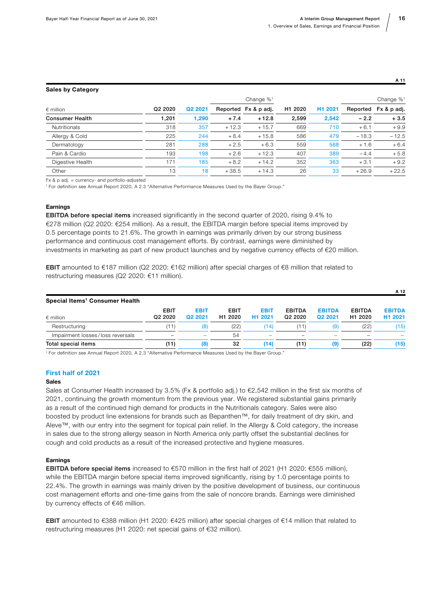#### Sales by Category

|                        |                     |         | Change $\%$ <sup>1</sup> |                      |         |                     |          | Change $\%$ <sup>1</sup> |
|------------------------|---------------------|---------|--------------------------|----------------------|---------|---------------------|----------|--------------------------|
| $\epsilon$ million     | Q <sub>2</sub> 2020 | Q2 2021 |                          | Reported Fx & p adj. | H1 2020 | H <sub>1</sub> 2021 | Reported | Fx & p adj.              |
| <b>Consumer Health</b> | 1,201               | 1,290   | $+7.4$                   | $+12.8$              | 2,599   | 2,542               | $-2.2$   | $+3.5$                   |
| <b>Nutritionals</b>    | 318                 | 357     | $+12.3$                  | $+15.7$              | 669     | 710                 | $+6.1$   | $+9.9$                   |
| Allergy & Cold         | 225                 | 244     | $+8.4$                   | $+15.8$              | 586     | 479                 | $-18.3$  | $-12.5$                  |
| Dermatology            | 281                 | 288     | $+2.5$                   | $+6.3$               | 559     | 568                 | $+1.6$   | $+6.4$                   |
| Pain & Cardio          | 193                 | 198     | $+2.6$                   | $+12.3$              | 407     | 389                 | $-4.4$   | $+5.8$                   |
| Digestive Health       | 171                 | 185     | $+8.2$                   | $+14.2$              | 352     | 363                 | $+3.1$   | $+9.2$                   |
| Other                  | 13                  | 18      | $+38.5$                  | $+14.3$              | 26      | 33                  | $+26.9$  | $+22.5$                  |

Fx & p adj. = currency- and portfolio-adjusted

1 For definition see Annual Report 2020, A 2.3 "Alternative Performance Measures Used by the Bayer Group."

#### **Earnings**

**EBITDA before special items** increased significantly in the second quarter of 2020, rising 9.4% to €278 million (Q2 2020: €254 million). As a result, the EBITDA margin before special items improved by 0.5 percentage points to 21.6%. The growth in earnings was primarily driven by our strong business performance and continuous cost management efforts. By contrast, earnings were diminished by investments in marketing as part of new product launches and by negative currency effects of €20 million.

EBIT amounted to €187 million (Q2 2020: €162 million) after special charges of €8 million that related to restructuring measures (Q2 2020: €11 million).

|                                            |                                    |                        |                                    |                                    |                                      |                          |                          | A 12                                 |
|--------------------------------------------|------------------------------------|------------------------|------------------------------------|------------------------------------|--------------------------------------|--------------------------|--------------------------|--------------------------------------|
| Special Items <sup>1</sup> Consumer Health |                                    |                        |                                    |                                    |                                      |                          |                          |                                      |
| $\epsilon$ million                         | <b>EBIT</b><br>Q <sub>2</sub> 2020 | <b>EBIT</b><br>Q2 2021 | <b>EBIT</b><br>H <sub>1</sub> 2020 | <b>EBIT</b><br>H <sub>1</sub> 2021 | <b>EBITDA</b><br>Q <sub>2</sub> 2020 | <b>EBITDA</b><br>Q2 2021 | <b>EBITDA</b><br>H1 2020 | <b>EBITDA</b><br>H <sub>1</sub> 2021 |
| Restructuring                              | (11)                               | (8)                    | (22)                               | '14)                               | 11)                                  | (9)                      | (22)                     | (15)                                 |
| Impairment losses/loss reversals           |                                    |                        | 54                                 | -                                  | $\overline{\phantom{0}}$             |                          |                          |                                      |
| Total special items                        | (11)                               | (8)                    | 32                                 | (14)                               | (11)                                 | (9)                      | (22)                     | (15)                                 |

1 For definition see Annual Report 2020, A 2.3 "Alternative Performance Measures Used by the Bayer Group."

#### First half of 2021

#### Sales

Sales at Consumer Health increased by 3.5% (Fx & portfolio adj.) to €2,542 million in the first six months of 2021, continuing the growth momentum from the previous year. We registered substantial gains primarily as a result of the continued high demand for products in the Nutritionals category. Sales were also boosted by product line extensions for brands such as Bepanthen™, for daily treatment of dry skin, and Aleve™, with our entry into the segment for topical pain relief. In the Allergy & Cold category, the increase in sales due to the strong allergy season in North America only partly offset the substantial declines for cough and cold products as a result of the increased protective and hygiene measures.

#### **Earnings**

EBITDA before special items increased to €570 million in the first half of 2021 (H1 2020: €555 million), while the EBITDA margin before special items improved significantly, rising by 1.0 percentage points to 22.4%. The growth in earnings was mainly driven by the positive development of business, our continuous cost management efforts and one-time gains from the sale of noncore brands. Earnings were diminished by currency effects of €46 million.

EBIT amounted to €388 million (H1 2020: €425 million) after special charges of €14 million that related to restructuring measures (H1 2020: net special gains of €32 million).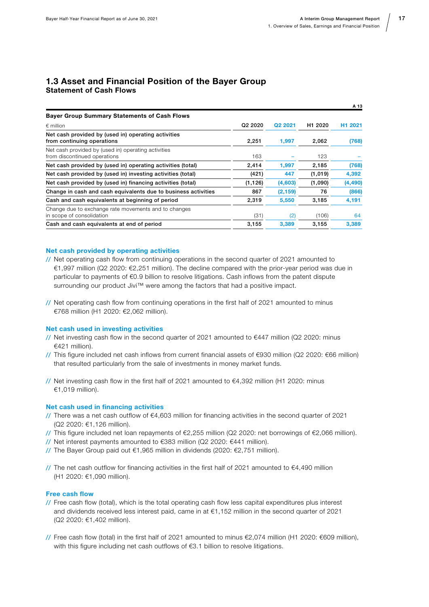#### <span id="page-16-0"></span>1.3 Asset and Financial Position of the Bayer Group Statement of Cash Flows

|                                                                                     |                                 |          |                     | A 13                |
|-------------------------------------------------------------------------------------|---------------------------------|----------|---------------------|---------------------|
| <b>Bayer Group Summary Statements of Cash Flows</b>                                 |                                 |          |                     |                     |
| $\epsilon$ million                                                                  | Q <sub>2</sub> 20 <sub>20</sub> | Q2 2021  | H <sub>1</sub> 2020 | H <sub>1</sub> 2021 |
| Net cash provided by (used in) operating activities<br>from continuing operations   | 2,251                           | 1,997    | 2,062               | (768)               |
| Net cash provided by (used in) operating activities<br>from discontinued operations | 163                             |          | 123                 |                     |
| Net cash provided by (used in) operating activities (total)                         | 2,414                           | 1,997    | 2,185               | (768)               |
| Net cash provided by (used in) investing activities (total)                         | (421)                           | 447      | (1,019)             | 4,392               |
| Net cash provided by (used in) financing activities (total)                         | (1, 126)                        | (4,603)  | (1,090)             | (4, 490)            |
| Change in cash and cash equivalents due to business activities                      | 867                             | (2, 159) | 76                  | (866)               |
| Cash and cash equivalents at beginning of period                                    | 2,319                           | 5,550    | 3,185               | 4,191               |
| Change due to exchange rate movements and to changes<br>in scope of consolidation   | (31)                            | (2)      | (106)               | 64                  |
| Cash and cash equivalents at end of period                                          | 3,155                           | 3.389    | 3,155               | 3,389               |

#### Net cash provided by operating activities

- // Net operating cash flow from continuing operations in the second quarter of 2021 amounted to €1,997 million (Q2 2020: €2,251 million). The decline compared with the prior-year period was due in particular to payments of €0.9 billion to resolve litigations. Cash inflows from the patent dispute surrounding our product Jivi™ were among the factors that had a positive impact.
- // Net operating cash flow from continuing operations in the first half of 2021 amounted to minus €768 million (H1 2020: €2,062 million).

#### Net cash used in investing activities

- // Net investing cash flow in the second quarter of 2021 amounted to  $\epsilon$ 447 million (Q2 2020: minus €421 million).
- // This figure included net cash inflows from current financial assets of €930 million (Q2 2020: €66 million) that resulted particularly from the sale of investments in money market funds.
- // Net investing cash flow in the first half of 2021 amounted to €4,392 million (H1 2020: minus €1,019 million).

#### Net cash used in financing activities

- // There was a net cash outflow of €4,603 million for financing activities in the second quarter of 2021 (Q2 2020: €1,126 million).
- // This figure included net loan repayments of €2,255 million (Q2 2020: net borrowings of €2,066 million).
- // Net interest payments amounted to €383 million (Q2 2020: €441 million).
- // The Bayer Group paid out €1,965 million in dividends (2020: €2,751 million).
- // The net cash outflow for financing activities in the first half of 2021 amounted to €4,490 million (H1 2020: €1,090 million).

#### Free cash flow

- // Free cash flow (total), which is the total operating cash flow less capital expenditures plus interest and dividends received less interest paid, came in at €1,152 million in the second quarter of 2021 (Q2 2020: €1,402 million).
- // Free cash flow (total) in the first half of 2021 amounted to minus €2,074 million (H1 2020: €609 million), with this figure including net cash outflows of €3.1 billion to resolve litigations.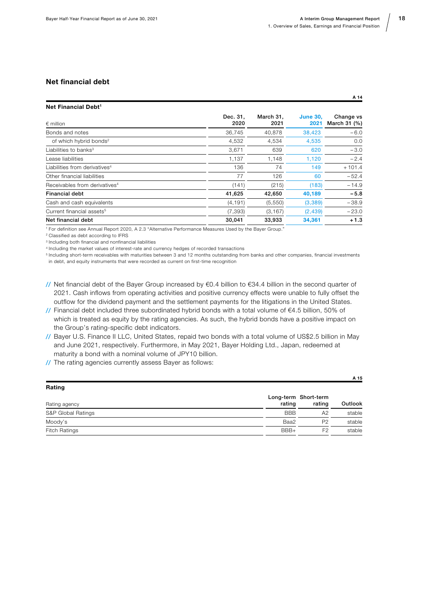A 15

#### Net financial debt

| Dec. 31.<br>2020 | March 31,<br>2021 | <b>June 30.</b><br>2021 | Change vs<br>March 31 (%) |
|------------------|-------------------|-------------------------|---------------------------|
| 36,745           | 40.878            | 38,423                  | $-6.0$                    |
| 4,532            | 4,534             | 4.535                   | 0.0                       |
| 3,671            | 639               | 620                     | $-3.0$                    |
| 1,137            | 1,148             | 1,120                   | $-2.4$                    |
| 136              | 74                | 149                     | $+101.4$                  |
| 77               | 126               | 60                      | $-52.4$                   |
| (141)            | (215)             | (183)                   | $-14.9$                   |
| 41,625           | 42,650            | 40,189                  | $-5.8$                    |
| (4, 191)         | (5,550)           | (3,389)                 | $-38.9$                   |
| (7, 393)         | (3, 167)          | (2, 439)                | $-23.0$                   |
| 30,041           | 33,933            | 34,361                  | $+1.3$                    |
|                  |                   |                         |                           |

1 For definition see Annual Report 2020, A 2.3 "Alternative Performance Measures Used by the Bayer Group."

2 Classified as debt according to IFRS

3 Including both financial and nonfinancial liabilities

4 Including the market values of interest-rate and currency hedges of recorded transactions

5 Including short-term receivables with maturities between 3 and 12 months outstanding from banks and other companies, financial investments in debt, and equity instruments that were recorded as current on first-time recognition

- // Net financial debt of the Bayer Group increased by €0.4 billion to €34.4 billion in the second quarter of 2021. Cash inflows from operating activities and positive currency effects were unable to fully offset the outflow for the dividend payment and the settlement payments for the litigations in the United States.
- // Financial debt included three subordinated hybrid bonds with a total volume of €4.5 billion, 50% of which is treated as equity by the rating agencies. As such, the hybrid bonds have a positive impact on the Group's rating-specific debt indicators.
- // Bayer U.S. Finance II LLC, United States, repaid two bonds with a total volume of US\$2.5 billion in May and June 2021, respectively. Furthermore, in May 2021, Bayer Holding Ltd., Japan, redeemed at maturity a bond with a nominal volume of JPY10 billion.
- // The rating agencies currently assess Bayer as follows:

| Rating               |            |                                |         |
|----------------------|------------|--------------------------------|---------|
| Rating agency        | rating     | Long-term Short-term<br>rating | Outlook |
| S&P Global Ratings   | <b>BBB</b> | A2                             | stable  |
| Moody's              | Baa2       | P <sub>2</sub>                 | stable  |
| <b>Fitch Ratings</b> | BBB+       | F <sub>2</sub>                 | stable  |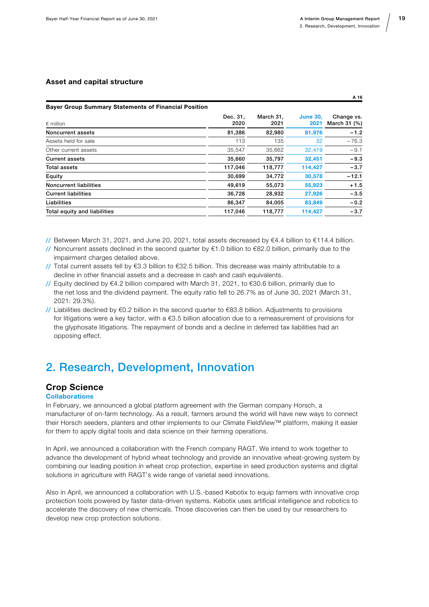#### <span id="page-18-0"></span>Asset and capital structure

| <b>Bayer Group Summary Statements of Financial Position</b> |                   |                         |                            |  |  |
|-------------------------------------------------------------|-------------------|-------------------------|----------------------------|--|--|
| Dec. 31.<br>2020                                            | March 31.<br>2021 | <b>June 30.</b><br>2021 | Change vs.<br>March 31 (%) |  |  |
| 81,386                                                      | 82,980            | 81,976                  | $-1.2$                     |  |  |
| 113                                                         | 135               | 32                      | $-76.3$                    |  |  |
| 35,547                                                      | 35,662            | 32,419                  | $-9.1$                     |  |  |
| 35,660                                                      | 35.797            | 32.451                  | $-9.3$                     |  |  |
| 117,046                                                     | 118,777           | 114,427                 | $-3.7$                     |  |  |
| 30,699                                                      | 34,772            | 30,578                  | $-12.1$                    |  |  |
| 49,619                                                      | 55.073            | 55,923                  | $+1.5$                     |  |  |
| 36,728                                                      | 28,932            | 27,926                  | $-3.5$                     |  |  |
| 86,347                                                      | 84,005            | 83,849                  | $-0.2$                     |  |  |
| 117,046                                                     | 118,777           | 114,427                 | $-3.7$                     |  |  |
|                                                             |                   |                         |                            |  |  |

// Between March 31, 2021, and June 20, 2021, total assets decreased by €4.4 billion to €114.4 billion.

- // Noncurrent assets declined in the second quarter by  $\epsilon$ 1.0 billion to  $\epsilon$ 82.0 billion, primarily due to the impairment charges detailed above.
- // Total current assets fell by €3.3 billion to €32.5 billion. This decrease was mainly attributable to a decline in other financial assets and a decrease in cash and cash equivalents.
- // Equity declined by €4.2 billion compared with March 31, 2021, to €30.6 billion, primarily due to the net loss and the dividend payment. The equity ratio fell to 26.7% as of June 30, 2021 (March 31, 2021: 29.3%).
- // Liabilities declined by €0.2 billion in the second quarter to €83.8 billion. Adjustments to provisions for litigations were a key factor, with a €3.5 billion allocation due to a remeasurement of provisions for the glyphosate litigations. The repayment of bonds and a decline in deferred tax liabilities had an opposing effect.

### 2. Research, Development, Innovation

#### Crop Science

#### **Collaborations**

In February, we announced a global platform agreement with the German company Horsch, a manufacturer of on-farm technology. As a result, farmers around the world will have new ways to connect their Horsch seeders, planters and other implements to our Climate FieldView™ platform, making it easier for them to apply digital tools and data science on their farming operations.

In April, we announced a collaboration with the French company RAGT. We intend to work together to advance the development of hybrid wheat technology and provide an innovative wheat-growing system by combining our leading position in wheat crop protection, expertise in seed production systems and digital solutions in agriculture with RAGT's wide range of varietal seed innovations.

Also in April, we announced a collaboration with U.S.-based Kebotix to equip farmers with innovative crop protection tools powered by faster data-driven systems. Kebotix uses artificial intelligence and robotics to accelerate the discovery of new chemicals. Those discoveries can then be used by our researchers to develop new crop protection solutions.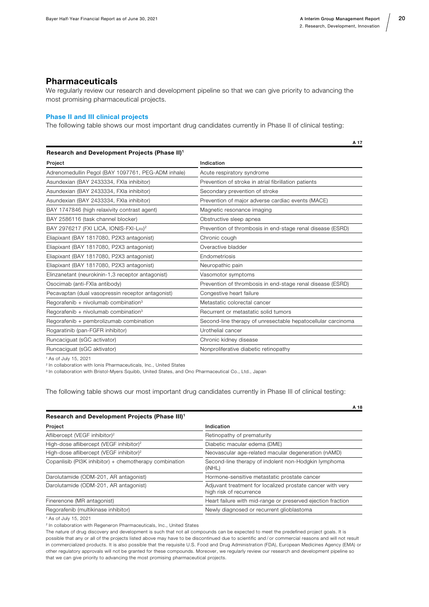#### <span id="page-19-0"></span>Pharmaceuticals

We regularly review our research and development pipeline so that we can give priority to advancing the most promising pharmaceutical projects.

#### Phase II and III clinical projects

The following table shows our most important drug candidates currently in Phase II of clinical testing:

| Research and Development Projects (Phase II) <sup>1</sup> |                                                              |
|-----------------------------------------------------------|--------------------------------------------------------------|
| Project                                                   | Indication                                                   |
| Adrenomedullin Pegol (BAY 1097761, PEG-ADM inhale)        | Acute respiratory syndrome                                   |
| Asundexian (BAY 2433334, FXIa inhibitor)                  | Prevention of stroke in atrial fibrillation patients         |
| Asundexian (BAY 2433334, FXIa inhibitor)                  | Secondary prevention of stroke                               |
| Asundexian (BAY 2433334, FXIa inhibitor)                  | Prevention of major adverse cardiac events (MACE)            |
| BAY 1747846 (high relaxivity contrast agent)              | Magnetic resonance imaging                                   |
| BAY 2586116 (task channel blocker)                        | Obstructive sleep apnea                                      |
| BAY 2976217 (FXI LICA, IONIS-FXI-LRX) <sup>2</sup>        | Prevention of thrombosis in end-stage renal disease (ESRD)   |
| Eliapixant (BAY 1817080, P2X3 antagonist)                 | Chronic cough                                                |
| Eliapixant (BAY 1817080, P2X3 antagonist)                 | Overactive bladder                                           |
| Eliapixant (BAY 1817080, P2X3 antagonist)                 | Endometriosis                                                |
| Eliapixant (BAY 1817080, P2X3 antagonist)                 | Neuropathic pain                                             |
| Elinzanetant (neurokinin-1,3 receptor antagonist)         | Vasomotor symptoms                                           |
| Osocimab (anti-FXIa antibody)                             | Prevention of thrombosis in end-stage renal disease (ESRD)   |
| Pecavaptan (dual vasopressin receptor antagonist)         | Congestive heart failure                                     |
| Regorafenib + nivolumab combination <sup>3</sup>          | Metastatic colorectal cancer                                 |
| Regorafenib + nivolumab combination $3$                   | Recurrent or metastatic solid tumors                         |
| Regorafenib + pembrolizumab combination                   | Second-line therapy of unresectable hepatocellular carcinoma |
| Rogaratinib (pan-FGFR inhibitor)                          | Urothelial cancer                                            |
| Runcaciguat (sGC activator)                               | Chronic kidney disease                                       |
| Runcaciquat (sGC aktivator)                               | Nonproliferative diabetic retinopathy                        |

1 As of July 15, 2021

2 In collaboration with Ionis Pharmaceuticals, Inc., United States

<sup>3</sup> In collaboration with Bristol-Myers Squibb, United States, and Ono Pharmaceutical Co., Ltd., Japan

The following table shows our most important drug candidates currently in Phase III of clinical testing:

|                                                            | A 18                                                                                  |
|------------------------------------------------------------|---------------------------------------------------------------------------------------|
| Research and Development Projects (Phase III) <sup>1</sup> |                                                                                       |
| Project                                                    | Indication                                                                            |
| Aflibercept (VEGF inhibitor) <sup>2</sup>                  | Retinopathy of prematurity                                                            |
| High-dose aflibercept (VEGF inhibitor) <sup>2</sup>        | Diabetic macular edema (DME)                                                          |
| High-dose aflibercept (VEGF inhibitor) <sup>2</sup>        | Neovascular age-related macular degeneration (nAMD)                                   |
| Copanlisib (PI3K inhibitor) + chemotherapy combination     | Second-line therapy of indolent non-Hodgkin lymphoma<br>(iNHL)                        |
| Darolutamide (ODM-201, AR antagonist)                      | Hormone-sensitive metastatic prostate cancer                                          |
| Darolutamide (ODM-201, AR antagonist)                      | Adjuvant treatment for localized prostate cancer with very<br>high risk of recurrence |
| Finerenone (MR antagonist)                                 | Heart failure with mid-range or preserved ejection fraction                           |
| Regorafenib (multikinase inhibitor)                        | Newly diagnosed or recurrent glioblastoma                                             |

1 As of July 15, 2021

2 In collaboration with Regeneron Pharmaceuticals, Inc., United States

The nature of drug discovery and development is such that not all compounds can be expected to meet the predefined project goals. It is possible that any or all of the projects listed above may have to be discontinued due to scientific and / or commercial reasons and will not result in commercialized products. It is also possible that the requisite U.S. Food and Drug Administration (FDA), European Medicines Agency (EMA) or other regulatory approvals will not be granted for these compounds. Moreover, we regularly review our research and development pipeline so that we can give priority to advancing the most promising pharmaceutical projects.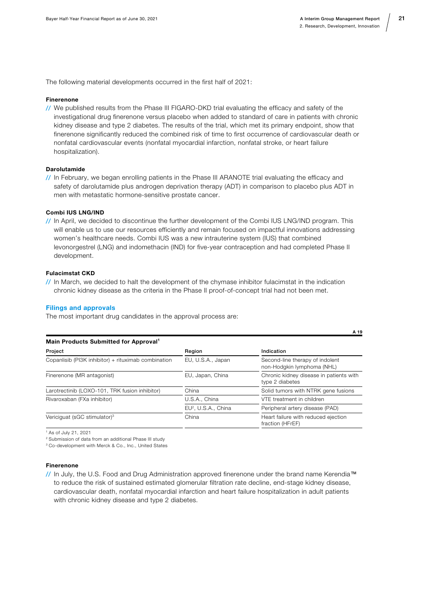The following material developments occurred in the first half of 2021:

#### Finerenone

// We published results from the Phase III FIGARO-DKD trial evaluating the efficacy and safety of the investigational drug finerenone versus placebo when added to standard of care in patients with chronic kidney disease and type 2 diabetes. The results of the trial, which met its primary endpoint, show that finerenone significantly reduced the combined risk of time to first occurrence of cardiovascular death or nonfatal cardiovascular events (nonfatal myocardial infarction, nonfatal stroke, or heart failure hospitalization).

#### Darolutamide

// In February, we began enrolling patients in the Phase III ARANOTE trial evaluating the efficacy and safety of darolutamide plus androgen deprivation therapy (ADT) in comparison to placebo plus ADT in men with metastatic hormone-sensitive prostate cancer.

#### Combi IUS LNG/IND

// In April, we decided to discontinue the further development of the Combi IUS LNG/IND program. This will enable us to use our resources efficiently and remain focused on impactful innovations addressing women's healthcare needs. Combi IUS was a new intrauterine system (IUS) that combined levonorgestrel (LNG) and indomethacin (IND) for five-year contraception and had completed Phase II development.

#### Fulacimstat CKD

// In March, we decided to halt the development of the chymase inhibitor fulacimstat in the indication chronic kidney disease as the criteria in the Phase II proof-of-concept trial had not been met.

#### Filings and approvals

The most important drug candidates in the approval process are:

| Main Products Submitted for Approval <sup>1</sup>   |                                 |                                                               |
|-----------------------------------------------------|---------------------------------|---------------------------------------------------------------|
| Project                                             | Region                          | Indication                                                    |
| Copanlisib (PI3K inhibitor) + rituximab combination | EU, U.S.A., Japan               | Second-line therapy of indolent<br>non-Hodgkin lymphoma (NHL) |
| Finerenone (MR antagonist)                          | EU, Japan, China                | Chronic kidney disease in patients with<br>type 2 diabetes    |
| Larotrectinib (LOXO-101, TRK fusion inhibitor)      | China                           | Solid tumors with NTRK gene fusions                           |
| Rivaroxaban (FXa inhibitor)                         | U.S.A., China                   | VTE treatment in children                                     |
|                                                     | EU <sup>2</sup> , U.S.A., China | Peripheral artery disease (PAD)                               |
| Vericiguat (sGC stimulator) <sup>3</sup>            | China                           | Heart failure with reduced ejection<br>fraction (HFrEF)       |

1 As of July 21, 2021

2 Submission of data from an additional Phase III study

<sup>3</sup> Co-development with Merck & Co., Inc., United States

#### Finerenone

// In July, the U.S. Food and Drug Administration approved finerenone under the brand name Kerendia™ to reduce the risk of sustained estimated glomerular filtration rate decline, end-stage kidney disease, cardiovascular death, nonfatal myocardial infarction and heart failure hospitalization in adult patients with chronic kidney disease and type 2 diabetes.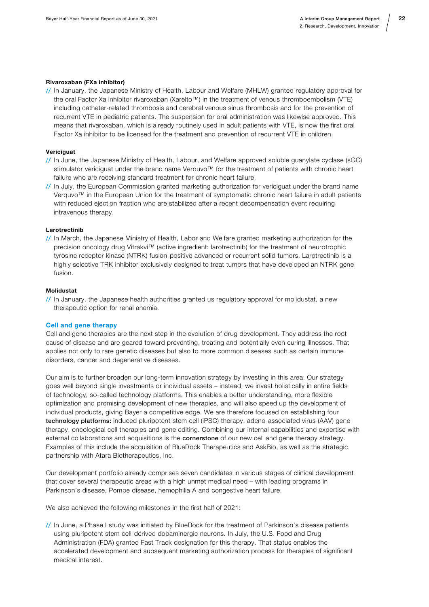#### Rivaroxaban (FXa inhibitor)

// In January, the Japanese Ministry of Health, Labour and Welfare (MHLW) granted regulatory approval for the oral Factor Xa inhibitor rivaroxaban (Xarelto™) in the treatment of venous thromboembolism (VTE) including catheter-related thrombosis and cerebral venous sinus thrombosis and for the prevention of recurrent VTE in pediatric patients. The suspension for oral administration was likewise approved. This means that rivaroxaban, which is already routinely used in adult patients with VTE, is now the first oral Factor Xa inhibitor to be licensed for the treatment and prevention of recurrent VTE in children.

#### **Vericiguat**

- // In June, the Japanese Ministry of Health, Labour, and Welfare approved soluble guanylate cyclase (sGC) stimulator vericiguat under the brand name Verquvo™ for the treatment of patients with chronic heart failure who are receiving standard treatment for chronic heart failure.
- // In July, the European Commission granted marketing authorization for vericiguat under the brand name Verquvo™ in the European Union for the treatment of symptomatic chronic heart failure in adult patients with reduced ejection fraction who are stabilized after a recent decompensation event requiring intravenous therapy.

#### Larotrectinib

// In March, the Japanese Ministry of Health, Labor and Welfare granted marketing authorization for the precision oncology drug Vitrakvi™ (active ingredient: larotrectinib) for the treatment of neurotrophic tyrosine receptor kinase (NTRK) fusion-positive advanced or recurrent solid tumors. Larotrectinib is a highly selective TRK inhibitor exclusively designed to treat tumors that have developed an NTRK gene fusion.

#### Molidustat

// In January, the Japanese health authorities granted us regulatory approval for molidustat, a new therapeutic option for renal anemia.

#### Cell and gene therapy

Cell and gene therapies are the next step in the evolution of drug development. They address the root cause of disease and are geared toward preventing, treating and potentially even curing illnesses. That applies not only to rare genetic diseases but also to more common diseases such as certain immune disorders, cancer and degenerative diseases.

Our aim is to further broaden our long-term innovation strategy by investing in this area. Our strategy goes well beyond single investments or individual assets – instead, we invest holistically in entire fields of technology, so-called technology platforms. This enables a better understanding, more flexible optimization and promising development of new therapies, and will also speed up the development of individual products, giving Bayer a competitive edge. We are therefore focused on establishing four technology platforms: induced pluripotent stem cell (iPSC) therapy, adeno-associated virus (AAV) gene therapy, oncological cell therapies and gene editing. Combining our internal capabilities and expertise with external collaborations and acquisitions is the **cornerstone** of our new cell and gene therapy strategy. Examples of this include the acquisition of BlueRock Therapeutics and AskBio, as well as the strategic partnership with Atara Biotherapeutics, Inc.

Our development portfolio already comprises seven candidates in various stages of clinical development that cover several therapeutic areas with a high unmet medical need – with leading programs in Parkinson's disease, Pompe disease, hemophilia A and congestive heart failure.

We also achieved the following milestones in the first half of 2021:

// In June, a Phase I study was initiated by BlueRock for the treatment of Parkinson's disease patients using pluripotent stem cell-derived dopaminergic neurons. In July, the U.S. Food and Drug Administration (FDA) granted Fast Track designation for this therapy. That status enables the accelerated development and subsequent marketing authorization process for therapies of significant medical interest.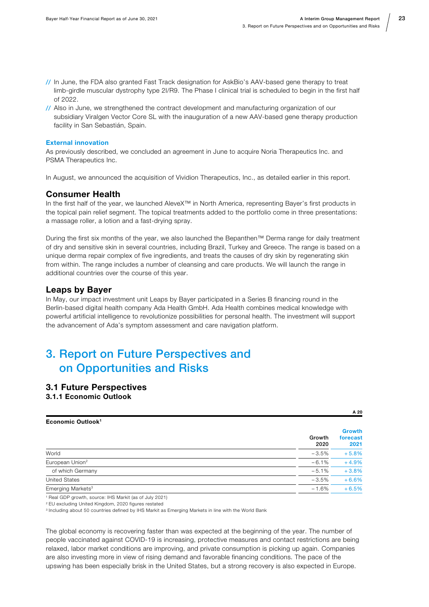- <span id="page-22-0"></span>// In June, the FDA also granted Fast Track designation for AskBio's AAV-based gene therapy to treat limb-girdle muscular dystrophy type 2I/R9. The Phase I clinical trial is scheduled to begin in the first half of 2022.
- // Also in June, we strengthened the contract development and manufacturing organization of our subsidiary Viralgen Vector Core SL with the inauguration of a new AAV-based gene therapy production facility in San Sebastián, Spain.

#### External innovation

As previously described, we concluded an agreement in June to acquire Noria Therapeutics Inc. and PSMA Therapeutics Inc.

In August, we announced the acquisition of Vividion Therapeutics, Inc., as detailed earlier in this report.

#### Consumer Health

In the first half of the year, we launched AleveX™ in North America, representing Bayer's first products in the topical pain relief segment. The topical treatments added to the portfolio come in three presentations: a massage roller, a lotion and a fast-drying spray.

During the first six months of the year, we also launched the Bepanthen™ Derma range for daily treatment of dry and sensitive skin in several countries, including Brazil, Turkey and Greece. The range is based on a unique derma repair complex of five ingredients, and treats the causes of dry skin by regenerating skin from within. The range includes a number of cleansing and care products. We will launch the range in additional countries over the course of this year.

#### Leaps by Bayer

In May, our impact investment unit Leaps by Bayer participated in a Series B financing round in the Berlin-based digital health company Ada Health GmbH. Ada Health combines medical knowledge with powerful artificial intelligence to revolutionize possibilities for personal health. The investment will support the advancement of Ada's symptom assessment and care navigation platform.

### 3. Report on Future Perspectives and on Opportunities and Risks

#### 3.1 Future Perspectives

3.1.1 Economic Outlook

| Economic Outlook <sup>1</sup> |                | <u>.</u>                          |
|-------------------------------|----------------|-----------------------------------|
|                               | Growth<br>2020 | <b>Growth</b><br>forecast<br>2021 |
| World                         | $-3.5%$        | $+5.8%$                           |
| European Union <sup>2</sup>   | $-6.1%$        | $+4.9%$                           |
| of which Germany              | $-5.1%$        | $+3.8%$                           |
| United States                 | $-3.5%$        | $+6.6%$                           |
| Emerging Markets <sup>3</sup> | $-1.6%$        | $+6.5%$                           |

1 Real GDP growth, source: IHS Markit (as of July 2021)

2 EU excluding United Kingdom, 2020 figures restated

3 Including about 50 countries defined by IHS Markit as Emerging Markets in line with the World Bank

The global economy is recovering faster than was expected at the beginning of the year. The number of people vaccinated against COVID-19 is increasing, protective measures and contact restrictions are being relaxed, labor market conditions are improving, and private consumption is picking up again. Companies are also investing more in view of rising demand and favorable financing conditions. The pace of the upswing has been especially brisk in the United States, but a strong recovery is also expected in Europe.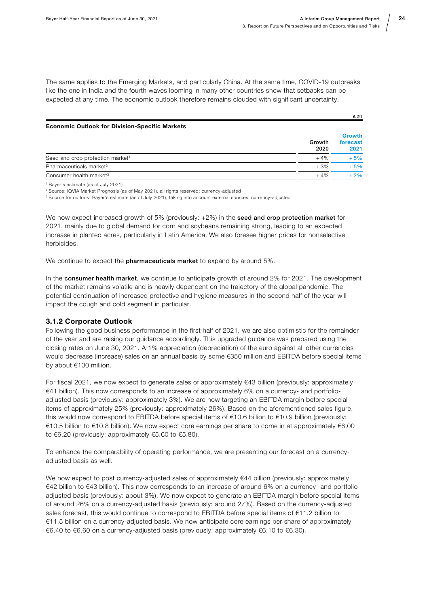The same applies to the Emerging Markets, and particularly China. At the same time, COVID-19 outbreaks like the one in India and the fourth waves looming in many other countries show that setbacks can be expected at any time. The economic outlook therefore remains clouded with significant uncertainty.

#### Economic Outlook for Division-Specific Markets

|                                              | Growth<br>2020 | <b>Growth</b><br>forecast<br>2021 |
|----------------------------------------------|----------------|-----------------------------------|
| Seed and crop protection market <sup>1</sup> | $+4%$          | $+5%$                             |
| Pharmaceuticals market <sup>2</sup>          | $+3%$          | $+5%$                             |
| Consumer health market <sup>3</sup>          | $+4%$          | $+2\%$                            |

1 Bayer's estimate (as of July 2021)

2 Source: IQVIA Market Prognosis (as of May 2021), all rights reserved; currency-adjusted

<sup>3</sup> Source for outlook: Bayer's estimate (as of July 2021), taking into account external sources; currency-adjusted

We now expect increased growth of 5% (previously: +2%) in the seed and crop protection market for 2021, mainly due to global demand for corn and soybeans remaining strong, leading to an expected increase in planted acres, particularly in Latin America. We also foresee higher prices for nonselective herbicides.

We continue to expect the **pharmaceuticals market** to expand by around 5%.

In the consumer health market, we continue to anticipate growth of around 2% for 2021. The development of the market remains volatile and is heavily dependent on the trajectory of the global pandemic. The potential continuation of increased protective and hygiene measures in the second half of the year will impact the cough and cold segment in particular.

#### 3.1.2 Corporate Outlook

Following the good business performance in the first half of 2021, we are also optimistic for the remainder of the year and are raising our guidance accordingly. This upgraded guidance was prepared using the closing rates on June 30, 2021. A 1% appreciation (depreciation) of the euro against all other currencies would decrease (increase) sales on an annual basis by some €350 million and EBITDA before special items by about €100 million.

For fiscal 2021, we now expect to generate sales of approximately  $€43$  billion (previously: approximately €41 billion). This now corresponds to an increase of approximately 6% on a currency- and portfolioadjusted basis (previously: approximately 3%). We are now targeting an EBITDA margin before special items of approximately 25% (previously: approximately 26%). Based on the aforementioned sales figure, this would now correspond to EBITDA before special items of €10.6 billion to €10.9 billion (previously: €10.5 billion to €10.8 billion). We now expect core earnings per share to come in at approximately €6.00 to €6.20 (previously: approximately €5.60 to €5.80).

To enhance the comparability of operating performance, we are presenting our forecast on a currencyadjusted basis as well.

We now expect to post currency-adjusted sales of approximately €44 billion (previously: approximately €42 billion to €43 billion). This now corresponds to an increase of around 6% on a currency- and portfolioadjusted basis (previously: about 3%). We now expect to generate an EBITDA margin before special items of around 26% on a currency-adjusted basis (previously: around 27%). Based on the currency-adjusted sales forecast, this would continue to correspond to EBITDA before special items of €11.2 billion to €11.5 billion on a currency-adjusted basis. We now anticipate core earnings per share of approximately  $€6.40$  to  $€6.60$  on a currency-adjusted basis (previously: approximately  $€6.10$  to  $€6.30$ ).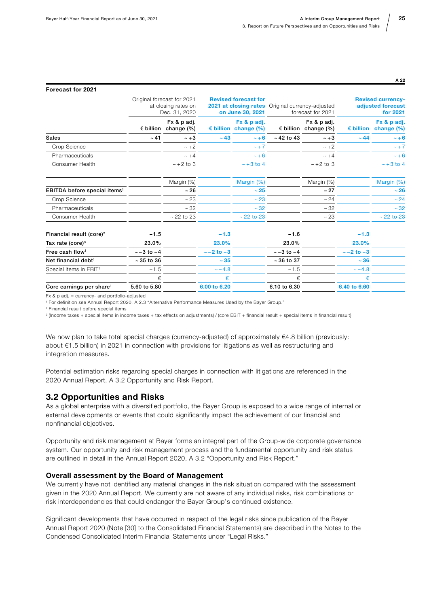<span id="page-24-0"></span>

| <b>Forecast for 2021</b>                 |                   |                                                                                                                                                |                   |                                              |                                                 |                                              |                                                           |                                              |
|------------------------------------------|-------------------|------------------------------------------------------------------------------------------------------------------------------------------------|-------------------|----------------------------------------------|-------------------------------------------------|----------------------------------------------|-----------------------------------------------------------|----------------------------------------------|
|                                          |                   | <b>Revised forecast for</b><br>Original forecast for 2021<br>2021 at closing rates<br>at closing rates on<br>on June 30, 2021<br>Dec. 31, 2020 |                   |                                              | Original currency-adjusted<br>forecast for 2021 |                                              | <b>Revised currency-</b><br>adjusted forecast<br>for 2021 |                                              |
|                                          |                   | Fx & p adj.<br>$\epsilon$ billion change (%)                                                                                                   |                   | Fx & p adj.<br>$\epsilon$ billion change (%) |                                                 | Fx & p adj.<br>$\epsilon$ billion change (%) |                                                           | Fx & p adj.<br>$\epsilon$ billion change (%) |
| Sales                                    | $~1 - 41$         | $-+3$                                                                                                                                          | $~-43$            | $-+6$                                        | $~12$ to 43                                     | $~\sim$ +3                                   | $~-44$                                                    | $-+6$                                        |
| Crop Science                             |                   | $\sim +2$                                                                                                                                      |                   | $\sim +7$                                    |                                                 | $\sim +2$                                    |                                                           | $\sim +7$                                    |
| Pharmaceuticals                          |                   | $\sim +4$                                                                                                                                      |                   | $~\sim +6$                                   |                                                 | $\sim +4$                                    |                                                           | $~\sim$ +6                                   |
| Consumer Health                          |                   | $\sim$ +2 to 3                                                                                                                                 |                   | $\sim +3$ to 4                               |                                                 | $\sim +2$ to 3                               |                                                           | $~\sim$ +3 to 4                              |
|                                          |                   | Margin (%)                                                                                                                                     |                   | Margin (%)                                   |                                                 | Margin (%)                                   |                                                           | Margin (%)                                   |
| EBITDA before special items <sup>1</sup> |                   | $~1$ 26                                                                                                                                        |                   | $~1$ - 25                                    |                                                 | ~27                                          |                                                           | ~26                                          |
| Crop Science                             |                   | ~23                                                                                                                                            |                   | ~23                                          |                                                 | ~24                                          |                                                           | ~24                                          |
| Pharmaceuticals                          |                   | ~12                                                                                                                                            |                   | $~1 - 32$                                    |                                                 | ~12                                          |                                                           | $\sim 32$                                    |
| Consumer Health                          |                   | $~22$ to 23                                                                                                                                    |                   | $~22$ to 23                                  |                                                 | ~23                                          |                                                           | $~22$ to 23                                  |
| Financial result (core) <sup>2</sup>     | $-1.5$            |                                                                                                                                                | $-1.3$            |                                              | $-1.6$                                          |                                              | $-1.3$                                                    |                                              |
| Tax rate $(core)^3$                      | 23.0%             |                                                                                                                                                | 23.0%             |                                              | 23.0%                                           |                                              | 23.0%                                                     |                                              |
| Free cash flow <sup>1</sup>              | $\sim -3$ to $-4$ |                                                                                                                                                | $\sim -2$ to $-3$ |                                              | $~-3$ to $-4$                                   |                                              | $\sim -2$ to $-3$                                         |                                              |
| Net financial debt <sup>1</sup>          | $~5$ 35 to 36     |                                                                                                                                                | $~1 - 35$         |                                              | $~5$ - 36 to 37                                 |                                              | $~-36$                                                    |                                              |
| Special items in EBIT <sup>1</sup>       | $-1.5$            |                                                                                                                                                | $~-4.8$           |                                              | $-1.5$                                          |                                              | $~-4.8$                                                   |                                              |
|                                          | €                 |                                                                                                                                                | €                 |                                              | €                                               |                                              | €                                                         |                                              |
| Core earnings per share <sup>1</sup>     | 5.60 to 5.80      |                                                                                                                                                | 6.00 to 6.20      |                                              | 6.10 to 6.30                                    |                                              | 6.40 to 6.60                                              |                                              |

Fx & p adj. = currency- and portfolio-adjusted

1 For definition see Annual Report 2020, A 2.3 "Alternative Performance Measures Used by the Bayer Group."

2 Financial result before special items

3 (Income taxes + special items in income taxes + tax effects on adjustments) / (core EBIT + financial result + special items in financial result)

We now plan to take total special charges (currency-adjusted) of approximately €4.8 billion (previously: about €1.5 billion) in 2021 in connection with provisions for litigations as well as restructuring and integration measures.

Potential estimation risks regarding special charges in connection with litigations are referenced in the 2020 Annual Report, A 3.2 Opportunity and Risk Report.

#### 3.2 Opportunities and Risks

As a global enterprise with a diversified portfolio, the Bayer Group is exposed to a wide range of internal or external developments or events that could significantly impact the achievement of our financial and nonfinancial objectives.

Opportunity and risk management at Bayer forms an integral part of the Group-wide corporate governance system. Our opportunity and risk management process and the fundamental opportunity and risk status are outlined in detail in the Annual Report 2020, A 3.2 "Opportunity and Risk Report."

#### Overall assessment by the Board of Management

We currently have not identified any material changes in the risk situation compared with the assessment given in the 2020 Annual Report. We currently are not aware of any individual risks, risk combinations or risk interdependencies that could endanger the Bayer Group's continued existence.

Significant developments that have occurred in respect of the legal risks since publication of the Bayer Annual Report 2020 (Note [30] to the Consolidated Financial Statements) are described in the Notes to the Condensed Consolidated Interim Financial Statements under "Legal Risks."

A 22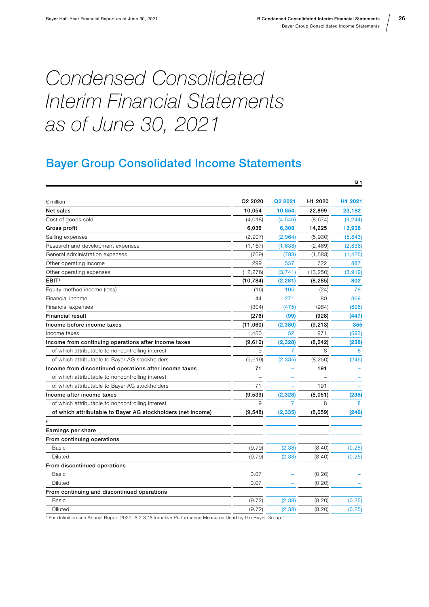B 1

26

# <span id="page-25-0"></span>Condensed Consolidated Interim Financial Statements as of June 30, 2021

### Bayer Group Consolidated Income Statements

| $\epsilon$ million                                          | Q <sub>2</sub> 2020 | Q <sub>2</sub> 2021 | H <sub>1</sub> 2020 | H1 2021  |
|-------------------------------------------------------------|---------------------|---------------------|---------------------|----------|
| Net sales                                                   | 10,054              | 10,854              | 22,899              | 23,182   |
| Cost of goods sold                                          | (4,018)             | (4, 546)            | (8,674)             | (9, 244) |
| Gross profit                                                | 6,036               | 6,308               | 14,225              | 13,938   |
| Selling expenses                                            | (2,907)             | (2,964)             | (5,930)             | (5,843)  |
| Research and development expenses                           | (1, 167)            | (1,638)             | (2,469)             | (2,836)  |
| General administration expenses                             | (769)               | (783)               | (1,583)             | (1, 425) |
| Other operating income                                      | 299                 | 537                 | 722                 | 887      |
| Other operating expenses                                    | (12, 276)           | (3,741)             | (13, 250)           | (3,919)  |
| EBIT <sup>1</sup>                                           | (10, 784)           | (2, 281)            | (8, 285)            | 802      |
| Equity-method income (loss)                                 | (16)                | 105                 | (24)                | 79       |
| Financial income                                            | 44                  | 271                 | 80                  | 369      |
| Financial expenses                                          | (304)               | (475)               | (984)               | (895)    |
| <b>Financial result</b>                                     | (276)               | (99)                | (928)               | (447)    |
| Income before income taxes                                  | (11,060)            | (2, 380)            | (9, 213)            | 355      |
| Income taxes                                                | 1,450               | 52                  | 971                 | (593)    |
| Income from continuing operations after income taxes        | (9,610)             | (2,328)             | (8, 242)            | (238)    |
| of which attributable to noncontrolling interest            | 9                   | 7                   | 8                   | 8        |
| of which attributable to Bayer AG stockholders              | (9,619)             | (2, 335)            | (8, 250)            | (246)    |
| Income from discontinued operations after income taxes      | 71                  |                     | 191                 |          |
| of which attributable to noncontrolling interest            |                     |                     |                     |          |
| of which attributable to Bayer AG stockholders              | 71                  |                     | 191                 |          |
| Income after income taxes                                   | (9,539)             | (2, 328)            | (8,051)             | (238)    |
| of which attributable to noncontrolling interest            | 9                   | 7                   | 8                   | 8        |
| of which attributable to Bayer AG stockholders (net income) | (9,548)             | (2, 335)            | (8,059)             | (246)    |
| €                                                           |                     |                     |                     |          |
| Earnings per share                                          |                     |                     |                     |          |
| From continuing operations                                  |                     |                     |                     |          |
| <b>Basic</b>                                                | (9.79)              | (2.38)              | (8.40)              | (0.25)   |
| Diluted                                                     | (9.79)              | (2.38)              | (8.40)              | (0.25)   |
| From discontinued operations                                |                     |                     |                     |          |
| Basic                                                       | 0.07                |                     | (0.20)              |          |
| <b>Diluted</b>                                              | 0.07                |                     | (0.20)              |          |
| From continuing and discontinued operations                 |                     |                     |                     |          |
| Basic                                                       | (9.72)              | (2.38)              | (8.20)              | (0.25)   |
| Diluted                                                     | (9.72)              | (2.38)              | (8.20)              | (0.25)   |

1 For definition see Annual Report 2020, A 2.3 "Alternative Performance Measures Used by the Bayer Group."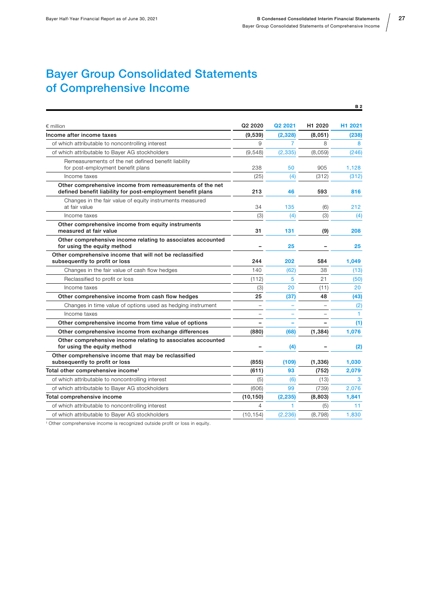### <span id="page-26-0"></span>Bayer Group Consolidated Statements of Comprehensive Income

|                                                                                                                          |                          |          |          | <b>B2</b>           |
|--------------------------------------------------------------------------------------------------------------------------|--------------------------|----------|----------|---------------------|
| $\epsilon$ million                                                                                                       | Q2 2020                  | Q2 2021  | H1 2020  | H <sub>1</sub> 2021 |
| Income after income taxes                                                                                                | (9,539)                  | (2, 328) | (8,051)  | (238)               |
| of which attributable to noncontrolling interest                                                                         | 9                        | 7        | 8        | 8                   |
| of which attributable to Bayer AG stockholders                                                                           | (9,548)                  | (2, 335) | (8,059)  | (246)               |
| Remeasurements of the net defined benefit liability<br>for post-employment benefit plans                                 | 238                      | 50       | 905      | 1,128               |
| Income taxes                                                                                                             | (25)                     | (4)      | (312)    | (312)               |
| Other comprehensive income from remeasurements of the net<br>defined benefit liability for post-employment benefit plans | 213                      | 46       | 593      | 816                 |
| Changes in the fair value of equity instruments measured<br>at fair value                                                | 34                       | 135      | (6)      | 212                 |
| Income taxes                                                                                                             | (3)                      | (4)      | (3)      | (4)                 |
| Other comprehensive income from equity instruments<br>measured at fair value                                             | 31                       | 131      | (9)      | 208                 |
| Other comprehensive income relating to associates accounted<br>for using the equity method                               |                          | 25       | ۰        | 25                  |
| Other comprehensive income that will not be reclassified<br>subsequently to profit or loss                               | 244                      | 202      | 584      | 1,049               |
| Changes in the fair value of cash flow hedges                                                                            | 140                      | (62)     | 38       | (13)                |
| Reclassified to profit or loss                                                                                           | (112)                    | 5        | 21       | (50)                |
| Income taxes                                                                                                             | (3)                      | 20       | (11)     | 20                  |
| Other comprehensive income from cash flow hedges                                                                         | 25                       | (37)     | 48       | (43)                |
| Changes in time value of options used as hedging instrument                                                              | $\overline{\phantom{0}}$ |          |          | (2)                 |
| Income taxes                                                                                                             | $\sim$                   |          |          | $\mathbf{1}$        |
| Other comprehensive income from time value of options                                                                    |                          |          |          | (1)                 |
| Other comprehensive income from exchange differences                                                                     | (880)                    | (68)     | (1, 384) | 1,076               |
| Other comprehensive income relating to associates accounted<br>for using the equity method                               |                          | (4)      |          | (2)                 |
| Other comprehensive income that may be reclassified<br>subsequently to profit or loss                                    | (855)                    | (109)    | (1, 336) | 1,030               |
| Total other comprehensive income <sup>1</sup>                                                                            | (611)                    | 93       | (752)    | 2,079               |
| of which attributable to noncontrolling interest                                                                         | (5)                      | (6)      | (13)     | 3                   |
| of which attributable to Bayer AG stockholders                                                                           | (606)                    | 99       | (739)    | 2,076               |
| Total comprehensive income                                                                                               | (10, 150)                | (2, 235) | (8,803)  | 1,841               |
| of which attributable to noncontrolling interest                                                                         | $\overline{4}$           | 1.       | (5)      | 11                  |
| of which attributable to Bayer AG stockholders                                                                           | (10, 154)                | (2, 236) | (8, 798) | 1,830               |

1 Other comprehensive income is recognized outside profit or loss in equity.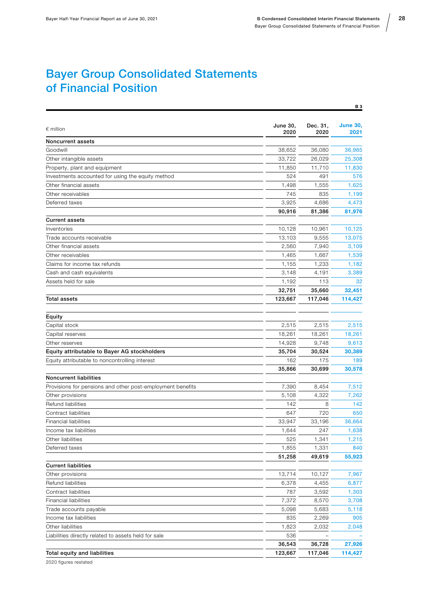28

### <span id="page-27-0"></span>Bayer Group Consolidated Statements of Financial Position

|                                                            |                  |                  | <b>B3</b>               |
|------------------------------------------------------------|------------------|------------------|-------------------------|
| $\epsilon$ million                                         | June 30,<br>2020 | Dec. 31,<br>2020 | <b>June 30,</b><br>2021 |
| Noncurrent assets                                          |                  |                  |                         |
| Goodwill                                                   | 38,652           | 36,080           | 36,965                  |
| Other intangible assets                                    | 33,722           | 26,029           | 25,308                  |
| Property, plant and equipment                              | 11,850           | 11,710           | 11,830                  |
| Investments accounted for using the equity method          | 524              | 491              | 576                     |
| Other financial assets                                     | 1,498            | 1,555            | 1,625                   |
| Other receivables                                          | 745              | 835              | 1,199                   |
| Deferred taxes                                             | 3,925            | 4,686            | 4,473                   |
|                                                            | 90,916           | 81,386           | 81,976                  |
| <b>Current assets</b>                                      |                  |                  |                         |
| Inventories                                                | 10,128           | 10,961           | 10,125                  |
| Trade accounts receivable                                  | 13,103           | 9,555            | 13,075                  |
| Other financial assets                                     | 2,560            | 7,940            | 3,109                   |
| Other receivables                                          | 1,465            | 1,667            | 1,539                   |
| Claims for income tax refunds                              | 1,155            | 1,233            | 1,182                   |
| Cash and cash equivalents                                  | 3,148            | 4,191            | 3,389                   |
| Assets held for sale                                       | 1,192            | 113              | 32                      |
|                                                            | 32,751           | 35,660           | 32,451                  |
| <b>Total assets</b>                                        | 123,667          | 117,046          | 114,427                 |
| Equity                                                     |                  |                  |                         |
| Capital stock                                              | 2,515            | 2,515            | 2,515                   |
| Capital reserves                                           | 18,261           | 18,261           | 18,261                  |
| Other reserves                                             | 14,928           | 9,748            | 9,613                   |
| Equity attributable to Bayer AG stockholders               | 35,704           | 30,524           | 30,389                  |
| Equity attributable to noncontrolling interest             | 162              | 175              | 189                     |
|                                                            | 35,866           | 30,699           | 30,578                  |
| <b>Noncurrent liabilities</b>                              |                  |                  |                         |
| Provisions for pensions and other post-employment benefits | 7,390            | 8,454            | 7,512                   |
| Other provisions                                           | 5,108            | 4,322            | 7,262                   |
| Refund liabilities                                         | 142              | 8                | 142                     |
| Contract liabilities                                       | 647              | 720              | 650                     |
| <b>Financial liabilities</b>                               | 33,947           | 33,196           | 36,664                  |
| Income tax liabilities                                     | 1,644            | 247              | 1,638                   |
| Other liabilities                                          | 525              | 1,341            | 1,215                   |
| Deferred taxes                                             | 1,855            | 1,331            | 840                     |
|                                                            | 51,258           | 49,619           | 55,923                  |
| <b>Current liabilities</b>                                 |                  |                  |                         |
| Other provisions                                           | 13,714           | 10,127           | 7,967                   |
| Refund liabilities                                         | 6,378            | 4,455            | 6,877                   |
| Contract liabilities                                       | 787              | 3,592            | 1,303                   |
| <b>Financial liabilities</b>                               | 7,372            | 8,570            | 3,708                   |
| Trade accounts payable                                     | 5,098            | 5,683            | 5,118                   |
| Income tax liabilities                                     | 835              | 2,269            | 905                     |
| Other liabilities                                          | 1,823            | 2,032            | 2,048                   |
| Liabilities directly related to assets held for sale       | 536              |                  |                         |
|                                                            | 36,543           | 36,728           | 27,926                  |
| Total equity and liabilities                               | 123,667          | 117,046          | 114,427                 |
|                                                            |                  |                  |                         |

2020 figures restated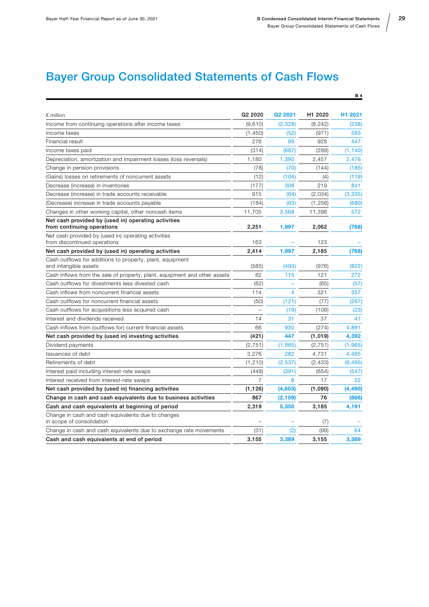B 4

## <span id="page-28-0"></span>Bayer Group Consolidated Statements of Cash Flows

| $\epsilon$ million                                                                 | Q2 2020                  | Q2 2021        | H1 2020  | H1 2021  |
|------------------------------------------------------------------------------------|--------------------------|----------------|----------|----------|
| Income from continuing operations after income taxes                               | (9,610)                  | (2,328)        | (8, 242) | (238)    |
| Income taxes                                                                       | (1,450)                  | (52)           | (971)    | 593      |
| Financial result                                                                   | 276                      | 99             | 928      | 447      |
| Income taxes paid                                                                  | (314)                    | (687)          | (289)    | (1, 140) |
| Depreciation, amortization and impairment losses (loss reversals)                  | 1,180                    | 1,390          | 2,457    | 2,476    |
| Change in pension provisions                                                       | (78)                     | (70)           | (144)    | (185)    |
| (Gains) losses on retirements of noncurrent assets                                 | (12)                     | (104)          | (4)      | (119)    |
| Decrease (increase) in inventories                                                 | (177)                    | 308            | 219      | 841      |
| Decrease (increase) in trade accounts receivable                                   | 915                      | (64)           | (2,034)  | (3, 335) |
| (Decrease) increase in trade accounts payable                                      | (184)                    | (63)           | (1,256)  | (680)    |
| Changes in other working capital, other noncash items                              | 11,705                   | 3,568          | 11,398   | 572      |
| Net cash provided by (used in) operating activities<br>from continuing operations  | 2,251                    | 1,997          | 2,062    | (768)    |
| Net cash provided by (used in) operating activities                                |                          |                |          |          |
| from discontinued operations                                                       | 163                      |                | 123      |          |
| Net cash provided by (used in) operating activities                                | 2,414                    | 1,997          | 2,185    | (768)    |
| Cash outflows for additions to property, plant, equipment<br>and intangible assets | (585)                    | (493)          | (976)    | (822)    |
| Cash inflows from the sale of property, plant, equipment and other assets          | 82                       | 115            | 121      | 272      |
| Cash outflows for divestments less divested cash                                   | (62)                     |                | (65)     | (57)     |
| Cash inflows from noncurrent financial assets                                      | 114                      | $\overline{4}$ | 321      | 357      |
| Cash outflows for noncurrent financial assets                                      | (50)                     | (121)          | (77)     | (267)    |
| Cash outflows for acquisitions less acquired cash                                  | $\overline{\phantom{0}}$ | (19)           | (106)    | (23)     |
| Interest and dividends received                                                    | 14                       | 31             | 37       | 41       |
| Cash inflows from (outflows for) current financial assets                          | 66                       | 930            | (274)    | 4.891    |
| Net cash provided by (used in) investing activities                                | (421)                    | 447            | (1,019)  | 4,392    |
| Dividend payments                                                                  | (2,751)                  | (1, 965)       | (2, 751) | (1, 965) |
| Issuances of debt                                                                  | 3,276                    | 282            | 4,731    | 4,495    |
| Retirements of debt                                                                | (1, 210)                 | (2,537)        | (2, 433) | (6, 495) |
| Interest paid including interest-rate swaps                                        | (448)                    | (391)          | (654)    | (547)    |
| Interest received from interest-rate swaps                                         | $\overline{7}$           | 8              | 17       | 22       |
| Net cash provided by (used in) financing activities                                | (1, 126)                 | (4,603)        | (1,090)  | (4, 490) |
| Change in cash and cash equivalents due to business activities                     | 867                      | (2, 159)       | 76       | (866)    |
| Cash and cash equivalents at beginning of period                                   | 2,319                    | 5,550          | 3,185    | 4,191    |
| Change in cash and cash equivalents due to changes<br>in scope of consolidation    |                          |                | (7)      |          |
| Change in cash and cash equivalents due to exchange rate movements                 | (31)                     | (2)            | (99)     | 64       |
| Cash and cash equivalents at end of period                                         | 3,155                    | 3,389          | 3,155    | 3,389    |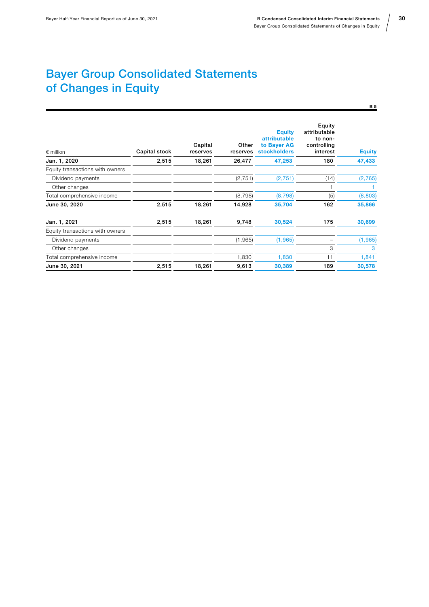## <span id="page-29-0"></span>Bayer Group Consolidated Statements of Changes in Equity

| $\epsilon$ million              | Capital stock | Capital<br>reserves | Other<br>reserves | <b>Equity</b><br>attributable<br>to Bayer AG<br><b>stockholders</b> | Equity<br>attributable<br>to non-<br>controlling<br>interest | <b>Equity</b> |
|---------------------------------|---------------|---------------------|-------------------|---------------------------------------------------------------------|--------------------------------------------------------------|---------------|
| Jan. 1, 2020                    | 2,515         | 18,261              | 26,477            | 47,253                                                              | 180                                                          | 47,433        |
| Equity transactions with owners |               |                     |                   |                                                                     |                                                              |               |
| Dividend payments               |               |                     | (2, 751)          | (2,751)                                                             | (14)                                                         | (2,765)       |
| Other changes                   |               |                     |                   |                                                                     |                                                              |               |
| Total comprehensive income      |               |                     | (8, 798)          | (8, 798)                                                            | (5)                                                          | (8,803)       |
| June 30, 2020                   | 2,515         | 18,261              | 14,928            | 35,704                                                              | 162                                                          | 35,866        |
| Jan. 1, 2021                    | 2,515         | 18,261              | 9,748             | 30,524                                                              | 175                                                          | 30,699        |
| Equity transactions with owners |               |                     |                   |                                                                     |                                                              |               |
| Dividend payments               |               |                     | (1,965)           | (1,965)                                                             |                                                              | (1, 965)      |
| Other changes                   |               |                     |                   |                                                                     | 3                                                            | 3             |
| Total comprehensive income      |               |                     | 1,830             | 1,830                                                               | 11                                                           | 1,841         |
| June 30, 2021                   | 2,515         | 18,261              | 9,613             | 30,389                                                              | 189                                                          | 30,578        |
|                                 |               |                     |                   |                                                                     |                                                              |               |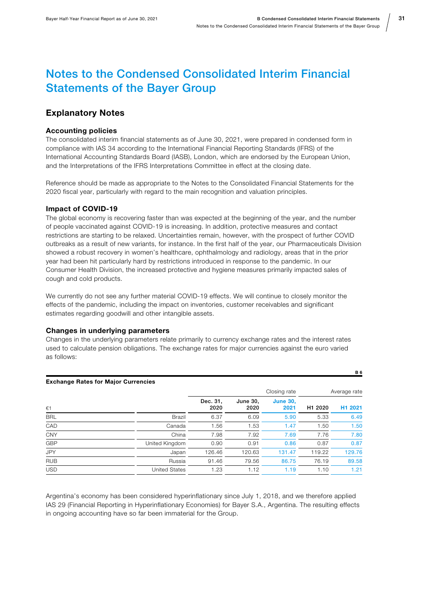31

B 6

### <span id="page-30-0"></span>Notes to the Condensed Consolidated Interim Financial Statements of the Bayer Group

### Explanatory Notes

#### Accounting policies

The consolidated interim financial statements as of June 30, 2021, were prepared in condensed form in compliance with IAS 34 according to the International Financial Reporting Standards (IFRS) of the International Accounting Standards Board (IASB), London, which are endorsed by the European Union, and the Interpretations of the IFRS Interpretations Committee in effect at the closing date.

Reference should be made as appropriate to the Notes to the Consolidated Financial Statements for the 2020 fiscal year, particularly with regard to the main recognition and valuation principles.

#### Impact of COVID-19

The global economy is recovering faster than was expected at the beginning of the year, and the number of people vaccinated against COVID-19 is increasing. In addition, protective measures and contact restrictions are starting to be relaxed. Uncertainties remain, however, with the prospect of further COVID outbreaks as a result of new variants, for instance. In the first half of the year, our Pharmaceuticals Division showed a robust recovery in women's healthcare, ophthalmology and radiology, areas that in the prior year had been hit particularly hard by restrictions introduced in response to the pandemic. In our Consumer Health Division, the increased protective and hygiene measures primarily impacted sales of cough and cold products.

We currently do not see any further material COVID-19 effects. We will continue to closely monitor the effects of the pandemic, including the impact on inventories, customer receivables and significant estimates regarding goodwill and other intangible assets.

#### Changes in underlying parameters

Changes in the underlying parameters relate primarily to currency exchange rates and the interest rates used to calculate pension obligations. The exchange rates for major currencies against the euro varied as follows:

| <b>Exchange Rates for Major Currencies</b> |                  |                  |                         |                     |                     |
|--------------------------------------------|------------------|------------------|-------------------------|---------------------|---------------------|
|                                            |                  |                  |                         | Average rate        |                     |
|                                            | Dec. 31.<br>2020 | June 30,<br>2020 | <b>June 30,</b><br>2021 | H <sub>1</sub> 2020 | H <sub>1</sub> 2021 |
| <b>Brazil</b>                              | 6.37             | 6.09             | 5.90                    | 5.33                | 6.49                |
| Canada                                     | 1.56             | 1.53             | 1.47                    | 1.50                | 1.50                |
| China                                      | 7.98             | 7.92             | 7.69                    | 7.76                | 7.80                |
| United Kingdom                             | 0.90             | 0.91             | 0.86                    | 0.87                | 0.87                |
| Japan                                      | 126.46           | 120.63           | 131.47                  | 119.22              | 129.76              |
| Russia                                     | 91.46            | 79.56            | 86.75                   | 76.19               | 89.58               |
| <b>United States</b>                       | 1.23             | 1.12             | 1.19                    | 1.10                | 1.21                |
|                                            |                  |                  |                         | Closing rate        |                     |

Argentina's economy has been considered hyperinflationary since July 1, 2018, and we therefore applied IAS 29 (Financial Reporting in Hyperinflationary Economies) for Bayer S.A., Argentina. The resulting effects in ongoing accounting have so far been immaterial for the Group.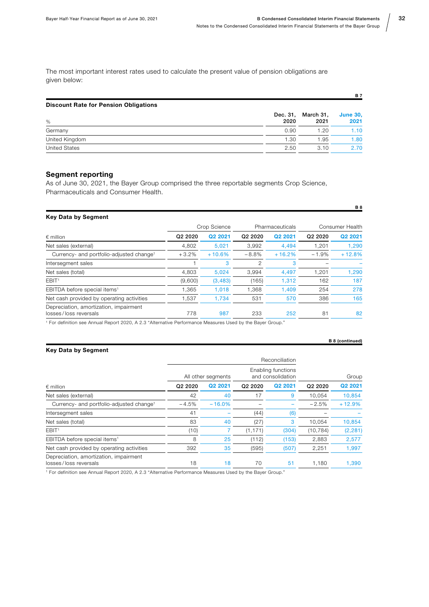The most important interest rates used to calculate the present value of pension obligations are given below:

| <b>Discount Rate for Pension Obligations</b> |                  |                   |                         |
|----------------------------------------------|------------------|-------------------|-------------------------|
| %                                            | Dec. 31,<br>2020 | March 31.<br>2021 | <b>June 30,</b><br>2021 |
| Germany                                      | 0.90             | 1.20              | 1.10                    |
| United Kingdom                               | 1.30             | 1.95              | 1.80                    |
| <b>United States</b>                         | 2.50             | 3.10              | 2.70                    |

#### Segment reporting

As of June 30, 2021, the Bayer Group comprised the three reportable segments Crop Science, Pharmaceuticals and Consumer Health.

| <b>Key Data by Segment</b> |  |
|----------------------------|--|
|----------------------------|--|

|                                                                 | Crop Science        |          | Pharmaceuticals     |          | Consumer Health                 |          |
|-----------------------------------------------------------------|---------------------|----------|---------------------|----------|---------------------------------|----------|
| $\epsilon$ million                                              | Q <sub>2</sub> 2020 | Q2 2021  | Q <sub>2</sub> 2020 | Q2 2021  | Q <sub>2</sub> 20 <sub>20</sub> | Q2 2021  |
| Net sales (external)                                            | 4,802               | 5,021    | 3.992               | 4.494    | 1.201                           | 1,290    |
| Currency- and portfolio-adjusted change <sup>1</sup>            | $+3.2%$             | $+10.6%$ | $-8.8%$             | $+16.2%$ | $-1.9%$                         | $+12.8%$ |
| Intersegment sales                                              |                     | 3        | 2                   | 3        |                                 |          |
| Net sales (total)                                               | 4,803               | 5.024    | 3.994               | 4,497    | 1,201                           | 1,290    |
| EBIT <sup>1</sup>                                               | (9,600)             | (3, 483) | (165)               | 1.312    | 162                             | 187      |
| EBITDA before special items <sup>1</sup>                        | 1.365               | 1.018    | 1.368               | 1.409    | 254                             | 278      |
| Net cash provided by operating activities                       | 1.537               | 1.734    | 531                 | 570      | 386                             | 165      |
| Depreciation, amortization, impairment<br>losses/loss reversals | 778                 | 987      | 233                 | 252      | 81                              | 82       |

<sup>1</sup> For definition see Annual Report 2020, A 2.3 "Alternative Performance Measures Used by the Bayer Group."

#### Key Data by Segment

|                                                                 |                     |          |                                         | Reconciliation |                                 |          |
|-----------------------------------------------------------------|---------------------|----------|-----------------------------------------|----------------|---------------------------------|----------|
| $\epsilon$ million                                              | All other segments  |          | Enabling functions<br>and consolidation |                | Group                           |          |
|                                                                 | Q <sub>2</sub> 2020 | Q2 2021  | Q <sub>2</sub> 20 <sub>20</sub>         | Q2 2021        | Q <sub>2</sub> 20 <sub>20</sub> | Q2 2021  |
| Net sales (external)                                            | 42                  | 40       | 17                                      | 9              | 10.054                          | 10,854   |
| Currency- and portfolio-adjusted change <sup>1</sup>            | $-4.5%$             | $-16.0%$ |                                         |                | $-2.5%$                         | $+12.9%$ |
| Intersegment sales                                              | 41                  |          | (44)                                    | (6)            |                                 |          |
| Net sales (total)                                               | 83                  | 40       | (27)                                    | 3              | 10.054                          | 10,854   |
| EBIT <sup>1</sup>                                               | (10)                |          | (1, 171)                                | (304)          | (10, 784)                       | (2, 281) |
| EBITDA before special items <sup>1</sup>                        | 8                   | 25       | (112)                                   | (153)          | 2,883                           | 2,577    |
| Net cash provided by operating activities                       | 392                 | 35       | (595)                                   | (507)          | 2,251                           | 1,997    |
| Depreciation, amortization, impairment<br>losses/loss reversals | 18                  | 18       | 70                                      | 51             | 1,180                           | 1,390    |

1 For definition see Annual Report 2020, A 2.3 "Alternative Performance Measures Used by the Bayer Group."

B 7

B 8

B 8 (continued)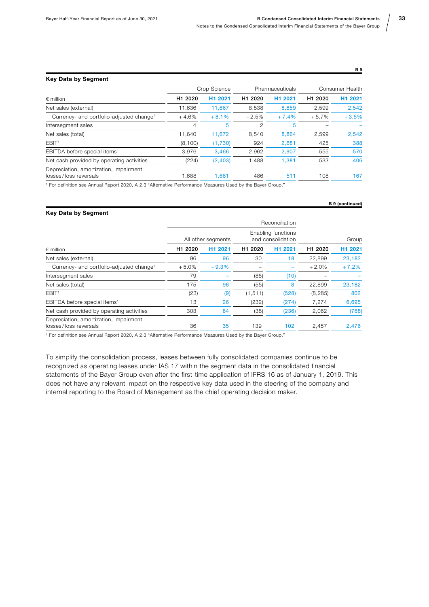#### Key Data by Segment

|                                                                 |                     | Crop Science |                     | Pharmaceuticals     | <b>Consumer Health</b> |         |
|-----------------------------------------------------------------|---------------------|--------------|---------------------|---------------------|------------------------|---------|
| $\epsilon$ million                                              | H <sub>1</sub> 2020 | H1 2021      | H <sub>1</sub> 2020 | H <sub>1</sub> 2021 | H <sub>1</sub> 2020    | H1 2021 |
| Net sales (external)                                            | 11.636              | 11.667       | 8,538               | 8.859               | 2,599                  | 2.542   |
| Currency- and portfolio-adjusted change <sup>1</sup>            | $+4.6%$             | $+8.1%$      | $-2.5%$             | $+7.4%$             | $+5.7%$                | $+3.5%$ |
| Intersegment sales                                              | 4                   | 5            | 2                   | 5                   |                        |         |
| Net sales (total)                                               | 11.640              | 11.672       | 8,540               | 8.864               | 2,599                  | 2,542   |
| EBIT <sup>1</sup>                                               | (8, 100)            | (1,730)      | 924                 | 2.681               | 425                    | 388     |
| EBITDA before special items <sup>1</sup>                        | 3,976               | 3,466        | 2,962               | 2.907               | 555                    | 570     |
| Net cash provided by operating activities                       | (224)               | (2, 403)     | 1,488               | 1,381               | 533                    | 406     |
| Depreciation, amortization, impairment<br>losses/loss reversals | 1,688               | 1,661        | 486                 | 511                 | 108                    | 167     |

<sup>1</sup> For definition see Annual Report 2020, A 2.3 "Alternative Performance Measures Used by the Bayer Group."

#### Key Data by Segment

|                                                                 |                     | Reconciliation      |                                         |                     |                     |                     |
|-----------------------------------------------------------------|---------------------|---------------------|-----------------------------------------|---------------------|---------------------|---------------------|
| $\epsilon$ million                                              | All other segments  |                     | Enabling functions<br>and consolidation |                     | Group               |                     |
|                                                                 | H <sub>1</sub> 2020 | H <sub>1</sub> 2021 | H <sub>1</sub> 2020                     | H <sub>1</sub> 2021 | H <sub>1</sub> 2020 | H <sub>1</sub> 2021 |
| Net sales (external)                                            | 96                  | 96                  | 30                                      | 18                  | 22,899              | 23,182              |
| Currency- and portfolio-adjusted change <sup>1</sup>            | $+5.0%$             | $-9.3%$             |                                         |                     | $+2.0%$             | $+7.2%$             |
| Intersegment sales                                              | 79                  |                     | (85)                                    | (10)                |                     |                     |
| Net sales (total)                                               | 175                 | 96                  | (55)                                    | 8                   | 22,899              | 23,182              |
| EBIT <sup>1</sup>                                               | (23)                | (9)                 | (1, 511)                                | (528)               | (8, 285)            | 802                 |
| EBITDA before special items <sup>1</sup>                        | 13                  | 26                  | (232)                                   | (274)               | 7,274               | 6,695               |
| Net cash provided by operating activities                       | 303                 | 84                  | (38)                                    | (236)               | 2,062               | (768)               |
| Depreciation, amortization, impairment<br>losses/loss reversals | 36                  | 35                  | 139                                     | 102                 | 2,457               | 2,476               |

1 For definition see Annual Report 2020, A 2.3 "Alternative Performance Measures Used by the Bayer Group."

To simplify the consolidation process, leases between fully consolidated companies continue to be recognized as operating leases under IAS 17 within the segment data in the consolidated financial statements of the Bayer Group even after the first-time application of IFRS 16 as of January 1, 2019. This does not have any relevant impact on the respective key data used in the steering of the company and internal reporting to the Board of Management as the chief operating decision maker.

B 9

B 9 (continued)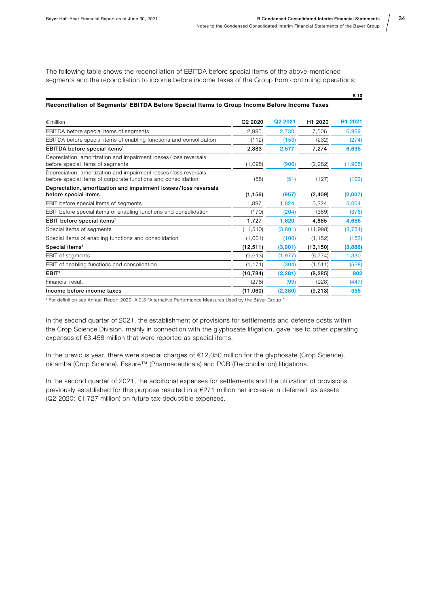The following table shows the reconciliation of EBITDA before special items of the above-mentioned segments and the reconciliation to income before income taxes of the Group from continuing operations:

#### Reconciliation of Segments' EBITDA Before Special Items to Group Income Before Income Taxes

| $\epsilon$ million                                                                                                               | Q <sub>2</sub> 20 <sub>20</sub> | Q <sub>2</sub> 20 <sub>21</sub> | H <sub>1</sub> 2020 | H <sub>1</sub> 2021 |
|----------------------------------------------------------------------------------------------------------------------------------|---------------------------------|---------------------------------|---------------------|---------------------|
| EBITDA before special items of segments                                                                                          | 2,995                           | 2.730                           | 7.506               | 6.969               |
| EBITDA before special items of enabling functions and consolidation                                                              | (112)                           | (153)                           | (232)               | (274)               |
| EBITDA before special items <sup>1</sup>                                                                                         | 2,883                           | 2,577                           | 7,274               | 6,695               |
| Depreciation, amortization and impairment losses/loss reversals<br>before special items of segments                              | (1,098)                         | (906)                           | (2, 282)            | (1,905)             |
| Depreciation, amortization and impairment losses/loss reversals<br>before special items of corporate functions and consolidation | (58)                            | (51)                            | (127)               | (102)               |
| Depreciation, amortization and impairment losses/loss reversals<br>before special items                                          | (1, 156)                        | (957)                           | (2, 409)            | (2,007)             |
| EBIT before special items of segments                                                                                            | 1.897                           | 1.824                           | 5.224               | 5.064               |
| EBIT before special items of enabling functions and consolidation                                                                | (170)                           | (204)                           | (359)               | (376)               |
| EBIT before special items <sup>1</sup>                                                                                           | 1,727                           | 1,620                           | 4,865               | 4,688               |
| Special items of segments                                                                                                        | (11, 510)                       | (3,801)                         | (11,998)            | (3,734)             |
| Special items of enabling functions and consolidation                                                                            | (1,001)                         | (100)                           | (1, 152)            | (152)               |
| Special items <sup>1</sup>                                                                                                       | (12, 511)                       | (3,901)                         | (13, 150)           | (3,886)             |
| <b>EBIT</b> of segments                                                                                                          | (9,613)                         | (1, 977)                        | (6, 774)            | 1,330               |
| EBIT of enabling functions and consolidation                                                                                     | (1, 171)                        | (304)                           | (1, 511)            | (528)               |
| EBIT <sup>1</sup>                                                                                                                | (10, 784)                       | (2, 281)                        | (8, 285)            | 802                 |
| Financial result                                                                                                                 | (276)                           | (99)                            | (928)               | (447)               |
| Income before income taxes                                                                                                       | (11,060)                        | (2,380)                         | (9, 213)            | 355                 |

1 For definition see Annual Report 2020, A 2.3 "Alternative Performance Measures Used by the Bayer Group."

In the second quarter of 2021, the establishment of provisions for settlements and defense costs within the Crop Science Division, mainly in connection with the glyphosate litigation, gave rise to other operating expenses of €3,458 million that were reported as special items.

In the previous year, there were special charges of €12,050 million for the glyphosate (Crop Science), dicamba (Crop Science), Essure™ (Pharmaceuticals) and PCB (Reconciliation) litigations.

In the second quarter of 2021, the additional expenses for settlements and the utilization of provisions previously established for this purpose resulted in a €271 million net increase in deferred tax assets (Q2 2020: €1,727 million) on future tax-deductible expenses.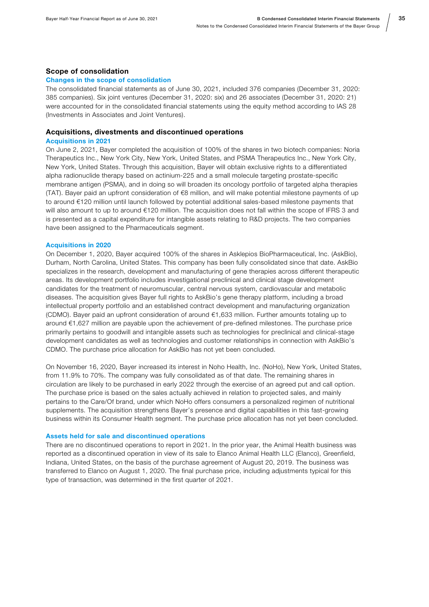#### Scope of consolidation

#### Changes in the scope of consolidation

The consolidated financial statements as of June 30, 2021, included 376 companies (December 31, 2020: 385 companies). Six joint ventures (December 31, 2020: six) and 26 associates (December 31, 2020: 21) were accounted for in the consolidated financial statements using the equity method according to IAS 28 (Investments in Associates and Joint Ventures).

#### Acquisitions, divestments and discontinued operations

#### Acquisitions in 2021

On June 2, 2021, Bayer completed the acquisition of 100% of the shares in two biotech companies: Noria Therapeutics Inc., New York City, New York, United States, and PSMA Therapeutics Inc., New York City, New York, United States. Through this acquisition, Bayer will obtain exclusive rights to a differentiated alpha radionuclide therapy based on actinium-225 and a small molecule targeting prostate-specific membrane antigen (PSMA), and in doing so will broaden its oncology portfolio of targeted alpha therapies (TAT). Bayer paid an upfront consideration of €8 million, and will make potential milestone payments of up to around €120 million until launch followed by potential additional sales-based milestone payments that will also amount to up to around €120 million. The acquisition does not fall within the scope of IFRS 3 and is presented as a capital expenditure for intangible assets relating to R&D projects. The two companies have been assigned to the Pharmaceuticals segment.

#### Acquisitions in 2020

On December 1, 2020, Bayer acquired 100% of the shares in Asklepios BioPharmaceutical, Inc. (AskBio), Durham, North Carolina, United States. This company has been fully consolidated since that date. AskBio specializes in the research, development and manufacturing of gene therapies across different therapeutic areas. Its development portfolio includes investigational preclinical and clinical stage development candidates for the treatment of neuromuscular, central nervous system, cardiovascular and metabolic diseases. The acquisition gives Bayer full rights to AskBio's gene therapy platform, including a broad intellectual property portfolio and an established contract development and manufacturing organization (CDMO). Bayer paid an upfront consideration of around €1,633 million. Further amounts totaling up to around €1,627 million are payable upon the achievement of pre-defined milestones. The purchase price primarily pertains to goodwill and intangible assets such as technologies for preclinical and clinical-stage development candidates as well as technologies and customer relationships in connection with AskBio's CDMO. The purchase price allocation for AskBio has not yet been concluded.

On November 16, 2020, Bayer increased its interest in Noho Health, Inc. (NoHo), New York, United States, from 11.9% to 70%. The company was fully consolidated as of that date. The remaining shares in circulation are likely to be purchased in early 2022 through the exercise of an agreed put and call option. The purchase price is based on the sales actually achieved in relation to projected sales, and mainly pertains to the Care/Of brand, under which NoHo offers consumers a personalized regimen of nutritional supplements. The acquisition strengthens Bayer's presence and digital capabilities in this fast-growing business within its Consumer Health segment. The purchase price allocation has not yet been concluded.

#### Assets held for sale and discontinued operations

There are no discontinued operations to report in 2021. In the prior year, the Animal Health business was reported as a discontinued operation in view of its sale to Elanco Animal Health LLC (Elanco), Greenfield, Indiana, United States, on the basis of the purchase agreement of August 20, 2019. The business was transferred to Elanco on August 1, 2020. The final purchase price, including adjustments typical for this type of transaction, was determined in the first quarter of 2021.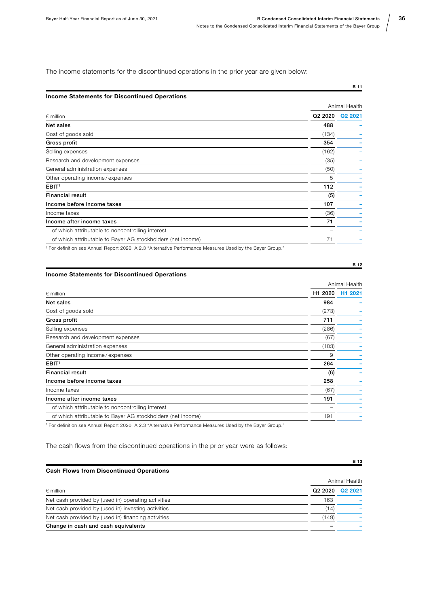The income statements for the discontinued operations in the prior year are given below:

#### Income Statements for Discontinued Operations

|                                                                                                                   | Animal Health       |                     |
|-------------------------------------------------------------------------------------------------------------------|---------------------|---------------------|
| $\epsilon$ million                                                                                                | Q <sub>2</sub> 2020 | Q <sub>2</sub> 2021 |
| Net sales                                                                                                         | 488                 |                     |
| Cost of goods sold                                                                                                | (134)               |                     |
| Gross profit                                                                                                      | 354                 |                     |
| Selling expenses                                                                                                  | (162)               |                     |
| Research and development expenses                                                                                 | (35)                |                     |
| General administration expenses                                                                                   | (50)                |                     |
| Other operating income/expenses                                                                                   | 5                   |                     |
| EBIT <sup>1</sup>                                                                                                 | 112                 |                     |
| <b>Financial result</b>                                                                                           | (5)                 |                     |
| Income before income taxes                                                                                        | 107                 |                     |
| Income taxes                                                                                                      | (36)                |                     |
| Income after income taxes                                                                                         | 71                  |                     |
| of which attributable to noncontrolling interest                                                                  |                     |                     |
| of which attributable to Bayer AG stockholders (net income)                                                       | 71                  |                     |
| 1 Februari 1986, 1997, Annual Dennis 0000, A.O.O. 6 Alternative Deutenmannes Meanwest Head by the Device Orains 8 |                     |                     |

Annual Report 2020, A 2.3 "Alternative Performance Measures Used by the Bayer Group.

#### Income Statements for Discontinued Operations

|                                                             |                     | Animal Health       |
|-------------------------------------------------------------|---------------------|---------------------|
| $\epsilon$ million                                          | H <sub>1</sub> 2020 | H <sub>1</sub> 2021 |
| Net sales                                                   | 984                 |                     |
| Cost of goods sold                                          | (273)               |                     |
| Gross profit                                                | 711                 |                     |
| Selling expenses                                            | (286)               |                     |
| Research and development expenses                           | (67)                |                     |
| General administration expenses                             | (103)               |                     |
| Other operating income/expenses                             | 9                   |                     |
| EBIT <sup>1</sup>                                           | 264                 |                     |
| <b>Financial result</b>                                     | (6)                 |                     |
| Income before income taxes                                  | 258                 |                     |
| Income taxes                                                | (67)                |                     |
| Income after income taxes                                   | 191                 |                     |
| of which attributable to noncontrolling interest            |                     |                     |
| of which attributable to Bayer AG stockholders (net income) | 191                 |                     |

<sup>1</sup> For definition see Annual Report 2020, A 2.3 "Alternative Performance Measures Used by the Bayer Group."

The cash flows from the discontinued operations in the prior year were as follows:

#### Cash Flows from Discontinued Operations

|                                                     | Animal Health |                 |  |
|-----------------------------------------------------|---------------|-----------------|--|
| $\epsilon$ million                                  |               | Q2 2020 Q2 2021 |  |
| Net cash provided by (used in) operating activities | 163           |                 |  |
| Net cash provided by (used in) investing activities | (14)          |                 |  |
| Net cash provided by (used in) financing activities | (149)         |                 |  |
| Change in cash and cash equivalents                 |               |                 |  |

B 11

B 12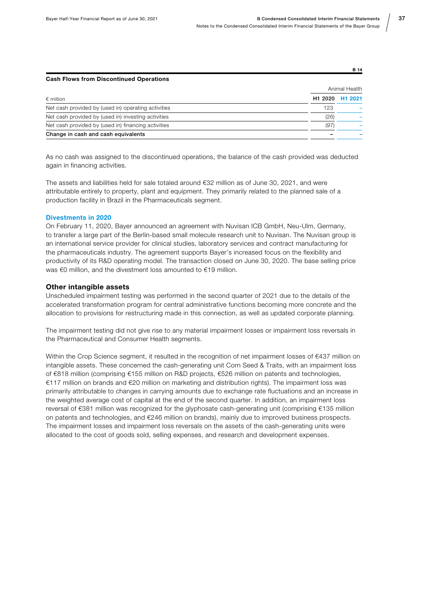| <b>Cash Flows from Discontinued Operations</b> |               |
|------------------------------------------------|---------------|
|                                                | Animal Health |

| $\epsilon$ million                                  |      | H1 2020 H1 2021 |
|-----------------------------------------------------|------|-----------------|
| Net cash provided by (used in) operating activities | 123  |                 |
| Net cash provided by (used in) investing activities | (26) |                 |
| Net cash provided by (used in) financing activities |      |                 |
| Change in cash and cash equivalents                 |      |                 |

As no cash was assigned to the discontinued operations, the balance of the cash provided was deducted again in financing activities.

The assets and liabilities held for sale totaled around €32 million as of June 30, 2021, and were attributable entirely to property, plant and equipment. They primarily related to the planned sale of a production facility in Brazil in the Pharmaceuticals segment.

#### Divestments in 2020

On February 11, 2020, Bayer announced an agreement with Nuvisan ICB GmbH, Neu-Ulm, Germany, to transfer a large part of the Berlin-based small molecule research unit to Nuvisan. The Nuvisan group is an international service provider for clinical studies, laboratory services and contract manufacturing for the pharmaceuticals industry. The agreement supports Bayer's increased focus on the flexibility and productivity of its R&D operating model. The transaction closed on June 30, 2020. The base selling price was €0 million, and the divestment loss amounted to €19 million.

#### Other intangible assets

Unscheduled impairment testing was performed in the second quarter of 2021 due to the details of the accelerated transformation program for central administrative functions becoming more concrete and the allocation to provisions for restructuring made in this connection, as well as updated corporate planning.

The impairment testing did not give rise to any material impairment losses or impairment loss reversals in the Pharmaceutical and Consumer Health segments.

Within the Crop Science segment, it resulted in the recognition of net impairment losses of €437 million on intangible assets. These concerned the cash-generating unit Corn Seed & Traits, with an impairment loss of €818 million (comprising €155 million on R&D projects, €526 million on patents and technologies, €117 million on brands and €20 million on marketing and distribution rights). The impairment loss was primarily attributable to changes in carrying amounts due to exchange rate fluctuations and an increase in the weighted average cost of capital at the end of the second quarter. In addition, an impairment loss reversal of €381 million was recognized for the glyphosate cash-generating unit (comprising €135 million on patents and technologies, and €246 million on brands), mainly due to improved business prospects. The impairment losses and impairment loss reversals on the assets of the cash-generating units were allocated to the cost of goods sold, selling expenses, and research and development expenses.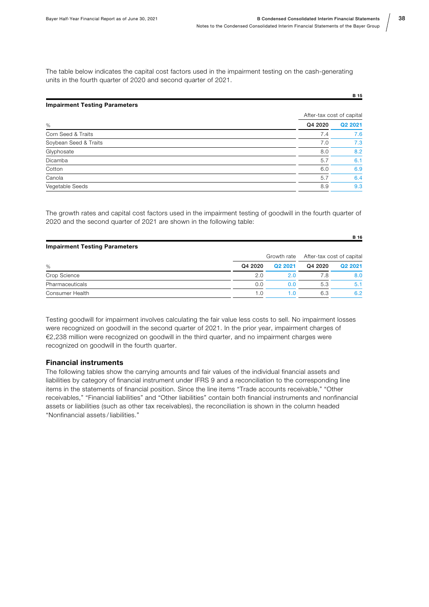The table below indicates the capital cost factors used in the impairment testing on the cash-generating units in the fourth quarter of 2020 and second quarter of 2021.

| <b>Impairment Testing Parameters</b> |                           |         |
|--------------------------------------|---------------------------|---------|
|                                      | After-tax cost of capital |         |
| %                                    | Q4 2020                   | Q2 2021 |
| Corn Seed & Traits                   | 7.4                       | 7.6     |
| Soybean Seed & Traits                | 7.0                       | 7.3     |
| Glyphosate                           | 8.0                       | 8.2     |
| Dicamba                              | 5.7                       | 6.1     |
| Cotton                               | 6.0                       | 6.9     |
| Canola                               | 5.7                       | 6.4     |
| Vegetable Seeds                      | 8.9                       | 9.3     |

The growth rates and capital cost factors used in the impairment testing of goodwill in the fourth quarter of 2020 and the second quarter of 2021 are shown in the following table:

| <b>Impairment Testing Parameters</b> |         |                                       |         |         |  |  |
|--------------------------------------|---------|---------------------------------------|---------|---------|--|--|
|                                      |         | Growth rate After-tax cost of capital |         |         |  |  |
| %                                    | Q4 2020 | Q2 2021                               | Q4 2020 | Q2 2021 |  |  |
| Crop Science                         | 2.0     | 2.0                                   | 7.8     | 8.0     |  |  |
| Pharmaceuticals                      | 0.0     | 0.0                                   | 5.3     | 5.1     |  |  |
| Consumer Health                      | 1.0     | 1.0                                   | 6.3     | 6.2     |  |  |

Testing goodwill for impairment involves calculating the fair value less costs to sell. No impairment losses were recognized on goodwill in the second quarter of 2021. In the prior year, impairment charges of €2,238 million were recognized on goodwill in the third quarter, and no impairment charges were recognized on goodwill in the fourth quarter.

#### Financial instruments

The following tables show the carrying amounts and fair values of the individual financial assets and liabilities by category of financial instrument under IFRS 9 and a reconciliation to the corresponding line items in the statements of financial position. Since the line items "Trade accounts receivable," "Other receivables," "Financial liabilities" and "Other liabilities" contain both financial instruments and nonfinancial assets or liabilities (such as other tax receivables), the reconciliation is shown in the column headed "Nonfinancial assets / liabilities."

38

B 15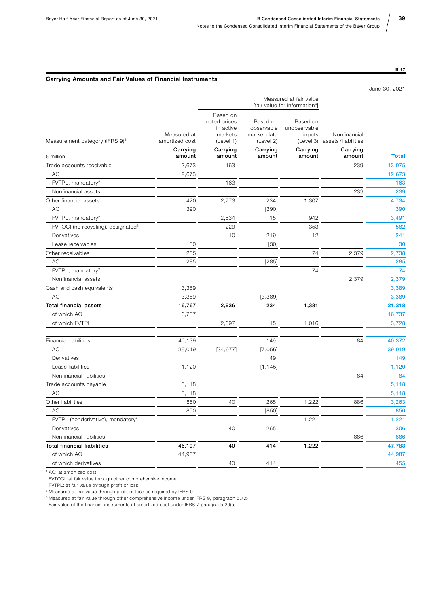#### Carrying Amounts and Fair Values of Financial Instruments

|                                                |                               |                                                                |                                                    |                                                         |                                    | June 30, 2021 |  |
|------------------------------------------------|-------------------------------|----------------------------------------------------------------|----------------------------------------------------|---------------------------------------------------------|------------------------------------|---------------|--|
|                                                |                               |                                                                |                                                    | Measured at fair value<br>[fair value for information4] |                                    |               |  |
| Measurement category (IFRS 9) <sup>1</sup>     | Measured at<br>amortized cost | Based on<br>quoted prices<br>in active<br>markets<br>(Level 1) | Based on<br>observable<br>market data<br>(Level 2) | Based on<br>unobservable<br>inputs<br>(Level 3)         | Nonfinancial<br>assets/liabilities |               |  |
| $\epsilon$ million                             | Carrying<br>amount            | Carrying<br>amount                                             | Carrying<br>amount                                 | Carrying<br>amount                                      | Carrying<br>amount                 | <b>Total</b>  |  |
| Trade accounts receivable                      | 12,673                        | 163                                                            |                                                    |                                                         | 239                                | 13,075        |  |
| AC                                             | 12,673                        |                                                                |                                                    |                                                         |                                    | 12,673        |  |
| FVTPL, mandatory <sup>2</sup>                  |                               | 163                                                            |                                                    |                                                         |                                    | 163           |  |
| Nonfinancial assets                            |                               |                                                                |                                                    |                                                         | 239                                | 239           |  |
| Other financial assets                         | 420                           | 2,773                                                          | 234                                                | 1,307                                                   |                                    | 4,734         |  |
| AC                                             | 390                           |                                                                | [390]                                              |                                                         |                                    | 390           |  |
| FVTPL, mandatory <sup>2</sup>                  |                               | 2,534                                                          | 15                                                 | 942                                                     |                                    | 3,491         |  |
| FVTOCI (no recycling), designated <sup>3</sup> |                               | 229                                                            |                                                    | 353                                                     |                                    | 582           |  |
| Derivatives                                    |                               | 10                                                             | 219                                                | 12                                                      |                                    | 241           |  |
| Lease receivables                              | 30                            |                                                                | $[30]$                                             |                                                         |                                    | 30            |  |
| Other receivables                              | 285                           |                                                                |                                                    | 74                                                      | 2,379                              | 2,738         |  |
| AC                                             | 285                           |                                                                | [285]                                              |                                                         |                                    | 285           |  |
| FVTPL, mandatory <sup>2</sup>                  |                               |                                                                |                                                    | 74                                                      |                                    | 74            |  |
| Nonfinancial assets                            |                               |                                                                |                                                    |                                                         | 2,379                              | 2,379         |  |
| Cash and cash equivalents                      | 3,389                         |                                                                |                                                    |                                                         |                                    | 3,389         |  |
| AC                                             | 3,389                         |                                                                | [3, 389]                                           |                                                         |                                    | 3,389         |  |
| <b>Total financial assets</b>                  | 16,767                        | 2,936                                                          | 234                                                | 1,381                                                   |                                    | 21,318        |  |
| of which AC                                    | 16,737                        |                                                                |                                                    |                                                         |                                    | 16,737        |  |
| of which FVTPL                                 |                               | 2,697                                                          | 15                                                 | 1,016                                                   |                                    | 3,728         |  |
| <b>Financial liabilities</b>                   | 40,139                        |                                                                | 149                                                |                                                         | 84                                 | 40,372        |  |
| AC                                             | 39,019                        | [34, 977]                                                      | [7,056]                                            |                                                         |                                    | 39,019        |  |
| Derivatives                                    |                               |                                                                | 149                                                |                                                         |                                    | 149           |  |
| Lease liabilities                              | 1,120                         |                                                                | [1, 145]                                           |                                                         |                                    | 1,120         |  |
| Nonfinancial liabilities                       |                               |                                                                |                                                    |                                                         | 84                                 | 84            |  |
| Trade accounts payable                         | 5,118                         |                                                                |                                                    |                                                         |                                    | 5,118         |  |
| AC                                             | 5,118                         |                                                                |                                                    |                                                         |                                    | 5,118         |  |
| Other liabilities                              | 850                           | 40                                                             | 265                                                | 1,222                                                   | 886                                | 3,263         |  |
| AC                                             | 850                           |                                                                | [850]                                              |                                                         |                                    | 850           |  |
| FVTPL (nonderivative), mandatory <sup>2</sup>  |                               |                                                                |                                                    | 1,221                                                   |                                    | 1,221         |  |
| Derivatives                                    |                               | 40                                                             | 265                                                | 1                                                       |                                    | 306           |  |
| Nonfinancial liabilities                       |                               |                                                                |                                                    |                                                         | 886                                | 886           |  |
| Total financial liabilities                    | 46,107                        | 40                                                             | 414                                                | 1,222                                                   |                                    | 47,783        |  |
| of which AC                                    | 44,987                        |                                                                |                                                    |                                                         |                                    | 44,987        |  |
| of which derivatives                           |                               | 40                                                             | 414                                                | $\mathbf{1}$                                            |                                    | 455           |  |

1 AC: at amortized cost

FVTOCI: at fair value through other comprehensive income

FVTPL: at fair value through profit or loss

2 Measured at fair value through profit or loss as required by IFRS 9

3 Measured at fair value through other comprehensive income under IFRS 9, paragraph 5.7.5

4 Fair value of the financial instruments at amortized cost under IFRS 7 paragraph 29(a)

39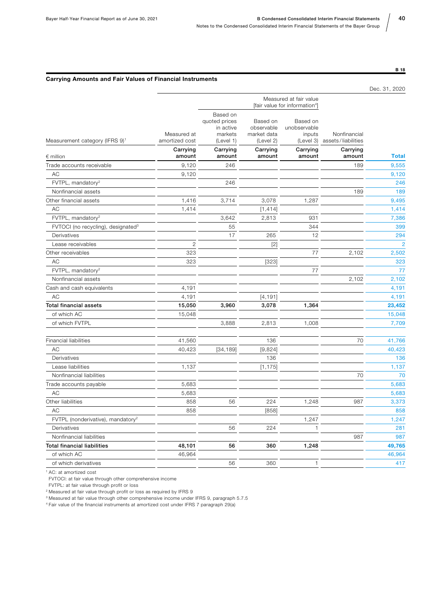#### Carrying Amounts and Fair Values of Financial Instruments

|                                                |                               |                                                                |                                                         |                                                 |                                    | Dec. 31, 2020  |
|------------------------------------------------|-------------------------------|----------------------------------------------------------------|---------------------------------------------------------|-------------------------------------------------|------------------------------------|----------------|
|                                                |                               |                                                                | Measured at fair value<br>[fair value for information4] |                                                 |                                    |                |
| Measurement category (IFRS 9) <sup>1</sup>     | Measured at<br>amortized cost | Based on<br>quoted prices<br>in active<br>markets<br>(Level 1) | Based on<br>observable<br>market data<br>(Level 2)      | Based on<br>unobservable<br>inputs<br>(Level 3) | Nonfinancial<br>assets/liabilities |                |
| $\epsilon$ million                             | Carrying<br>amount            | Carrying<br>amount                                             | Carrying<br>amount                                      | Carrying<br>amount                              | Carrying<br>amount                 | <b>Total</b>   |
| Trade accounts receivable                      | 9,120                         | 246                                                            |                                                         |                                                 | 189                                | 9,555          |
| AC                                             | 9,120                         |                                                                |                                                         |                                                 |                                    | 9,120          |
| FVTPL, mandatory <sup>2</sup>                  |                               | 246                                                            |                                                         |                                                 |                                    | 246            |
| Nonfinancial assets                            |                               |                                                                |                                                         |                                                 | 189                                | 189            |
| Other financial assets                         | 1,416                         | 3,714                                                          | 3,078                                                   | 1,287                                           |                                    | 9,495          |
| <b>AC</b>                                      | 1,414                         |                                                                | [1, 414]                                                |                                                 |                                    | 1,414          |
| FVTPL, mandatory <sup>2</sup>                  |                               | 3,642                                                          | 2,813                                                   | 931                                             |                                    | 7,386          |
| FVTOCI (no recycling), designated <sup>3</sup> |                               | 55                                                             |                                                         | 344                                             |                                    | 399            |
| Derivatives                                    |                               | 17                                                             | 265                                                     | 12                                              |                                    | 294            |
| Lease receivables                              | $\overline{2}$                |                                                                | $[2]$                                                   |                                                 |                                    | $\overline{2}$ |
| Other receivables                              | 323                           |                                                                |                                                         | 77                                              | 2,102                              | 2,502          |
| AC                                             | 323                           |                                                                | [323]                                                   |                                                 |                                    | 323            |
| FVTPL, mandatory <sup>2</sup>                  |                               |                                                                |                                                         | 77                                              |                                    | 77             |
| Nonfinancial assets                            |                               |                                                                |                                                         |                                                 | 2,102                              | 2,102          |
| Cash and cash equivalents                      | 4,191                         |                                                                |                                                         |                                                 |                                    | 4,191          |
| AC                                             | 4,191                         |                                                                | [4, 191]                                                |                                                 |                                    | 4,191          |
| <b>Total financial assets</b>                  | 15,050                        | 3,960                                                          | 3,078                                                   | 1,364                                           |                                    | 23,452         |
| of which AC                                    | 15,048                        |                                                                |                                                         |                                                 |                                    | 15,048         |
| of which FVTPL                                 |                               | 3,888                                                          | 2,813                                                   | 1,008                                           |                                    | 7,709          |
| <b>Financial liabilities</b>                   | 41,560                        |                                                                | 136                                                     |                                                 | 70                                 | 41,766         |
| AC                                             | 40,423                        | [34, 189]                                                      | [9,824]                                                 |                                                 |                                    | 40,423         |
| Derivatives                                    |                               |                                                                | 136                                                     |                                                 |                                    | 136            |
| Lease liabilities                              | 1,137                         |                                                                | [1, 175]                                                |                                                 |                                    | 1,137          |
| Nonfinancial liabilities                       |                               |                                                                |                                                         |                                                 | 70                                 | 70             |
| Trade accounts payable                         | 5,683                         |                                                                |                                                         |                                                 |                                    | 5,683          |
| AC                                             | 5,683                         |                                                                |                                                         |                                                 |                                    | 5,683          |
| Other liabilities                              | 858                           | 56                                                             | 224                                                     | 1,248                                           | 987                                | 3,373          |
| АC                                             | 858                           |                                                                | [858]                                                   |                                                 |                                    | 858            |
| FVTPL (nonderivative), mandatory <sup>2</sup>  |                               |                                                                |                                                         | 1,247                                           |                                    | 1,247          |
| Derivatives                                    |                               | 56                                                             | 224                                                     | $\mathbf{1}$                                    |                                    | 281            |
| Nonfinancial liabilities                       |                               |                                                                |                                                         |                                                 | 987                                | 987            |
| <b>Total financial liabilities</b>             | 48,101                        | 56                                                             | 360                                                     | 1,248                                           |                                    | 49,765         |
| of which AC                                    | 46,964                        |                                                                |                                                         |                                                 |                                    | 46,964         |
| of which derivatives                           |                               | 56                                                             | 360                                                     | $\mathbf{1}$                                    |                                    | 417            |

1 AC: at amortized cost

FVTOCI: at fair value through other comprehensive income

FVTPL: at fair value through profit or loss

2 Measured at fair value through profit or loss as required by IFRS 9

3 Measured at fair value through other comprehensive income under IFRS 9, paragraph 5.7.5

4 Fair value of the financial instruments at amortized cost under IFRS 7 paragraph 29(a)

40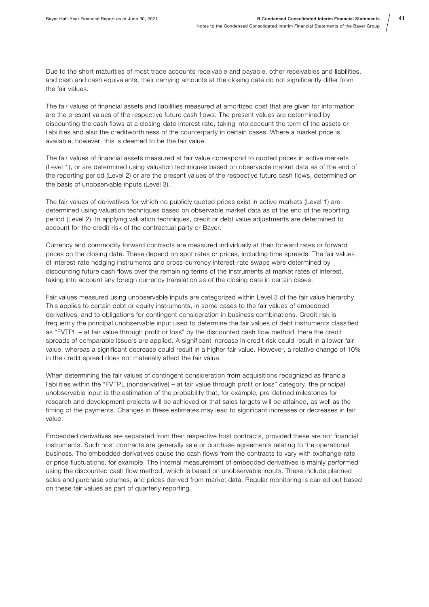41

Due to the short maturities of most trade accounts receivable and payable, other receivables and liabilities, and cash and cash equivalents, their carrying amounts at the closing date do not significantly differ from the fair values.

The fair values of financial assets and liabilities measured at amortized cost that are given for information are the present values of the respective future cash flows. The present values are determined by discounting the cash flows at a closing-date interest rate, taking into account the term of the assets or liabilities and also the creditworthiness of the counterparty in certain cases. Where a market price is available, however, this is deemed to be the fair value.

The fair values of financial assets measured at fair value correspond to quoted prices in active markets (Level 1), or are determined using valuation techniques based on observable market data as of the end of the reporting period (Level 2) or are the present values of the respective future cash flows, determined on the basis of unobservable inputs (Level 3).

The fair values of derivatives for which no publicly quoted prices exist in active markets (Level 1) are determined using valuation techniques based on observable market data as of the end of the reporting period (Level 2). In applying valuation techniques, credit or debt value adjustments are determined to account for the credit risk of the contractual party or Bayer.

Currency and commodity forward contracts are measured individually at their forward rates or forward prices on the closing date. These depend on spot rates or prices, including time spreads. The fair values of interest-rate hedging instruments and cross-currency interest-rate swaps were determined by discounting future cash flows over the remaining terms of the instruments at market rates of interest, taking into account any foreign currency translation as of the closing date in certain cases.

Fair values measured using unobservable inputs are categorized within Level 3 of the fair value hierarchy. This applies to certain debt or equity instruments, in some cases to the fair values of embedded derivatives, and to obligations for contingent consideration in business combinations. Credit risk is frequently the principal unobservable input used to determine the fair values of debt instruments classified as "FVTPL – at fair value through profit or loss" by the discounted cash flow method. Here the credit spreads of comparable issuers are applied. A significant increase in credit risk could result in a lower fair value, whereas a significant decrease could result in a higher fair value. However, a relative change of 10% in the credit spread does not materially affect the fair value.

When determining the fair values of contingent consideration from acquisitions recognized as financial liabilities within the "FVTPL (nonderivative) – at fair value through profit or loss" category, the principal unobservable input is the estimation of the probability that, for example, pre-defined milestones for research and development projects will be achieved or that sales targets will be attained, as well as the timing of the payments. Changes in these estimates may lead to significant increases or decreases in fair value.

Embedded derivatives are separated from their respective host contracts, provided these are not financial instruments. Such host contracts are generally sale or purchase agreements relating to the operational business. The embedded derivatives cause the cash flows from the contracts to vary with exchange-rate or price fluctuations, for example. The internal measurement of embedded derivatives is mainly performed using the discounted cash flow method, which is based on unobservable inputs. These include planned sales and purchase volumes, and prices derived from market data. Regular monitoring is carried out based on these fair values as part of quarterly reporting.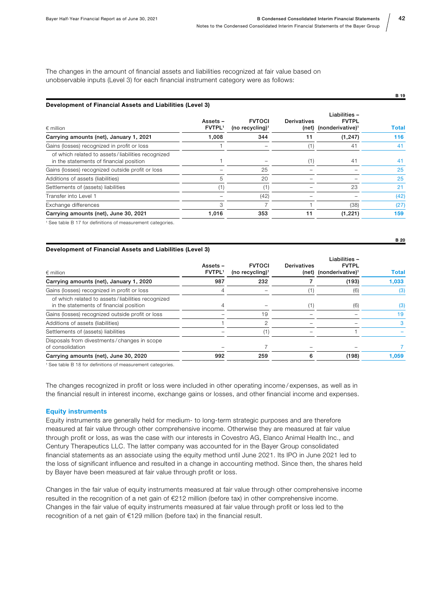The changes in the amount of financial assets and liabilities recognized at fair value based on unobservable inputs (Level 3) for each financial instrument category were as follows:

#### Development of Financial Assets and Liabilities (Level 3)

| $\epsilon$ million                                                                           | Assets -<br><b>FVTPL1</b> | <b>FVTOCI</b><br>(no recycling) <sup>1</sup> | Derivatives | Liabilities-<br><b>FVTPL</b><br>(net) (nonderivative) <sup>1</sup> | <b>Total</b> |
|----------------------------------------------------------------------------------------------|---------------------------|----------------------------------------------|-------------|--------------------------------------------------------------------|--------------|
| Carrying amounts (net), January 1, 2021                                                      | 1,008                     | 344                                          |             | (1, 247)                                                           | 116          |
| Gains (losses) recognized in profit or loss                                                  |                           |                                              |             | 41                                                                 | 41           |
| of which related to assets/liabilities recognized<br>in the statements of financial position |                           |                                              |             | 41                                                                 | 41           |
| Gains (losses) recognized outside profit or loss                                             |                           | 25                                           |             |                                                                    | 25           |
| Additions of assets (liabilities)                                                            | 5                         | 20                                           |             |                                                                    | 25           |
| Settlements of (assets) liabilities                                                          | (1)                       |                                              |             | 23                                                                 | 21           |
| Transfer into Level 1                                                                        |                           | (42)                                         |             |                                                                    | (42)         |
| Exchange differences                                                                         | 3                         |                                              |             | (38)                                                               | (27)         |
| Carrying amounts (net), June 30, 2021                                                        | 1,016                     | 353                                          |             | (1,221)                                                            | 159          |
| I Osa dalah D. 47 dan alaftatti asa ad magagunama and andamantas                             |                           |                                              |             |                                                                    |              |

See table B 17 for definitions of measurement categories.

#### Development of Financial Assets and Liabilities (Level 3)

| $\epsilon$ million                                                                           | Assets –<br><b>FVTPL1</b> | <b>FVTOCI</b><br>(no recycling) $1$ | <b>Derivatives</b> | Liabilities-<br><b>FVTPL</b><br>(net) (nonderivative) <sup>1</sup> | <b>Total</b> |
|----------------------------------------------------------------------------------------------|---------------------------|-------------------------------------|--------------------|--------------------------------------------------------------------|--------------|
| Carrying amounts (net), January 1, 2020                                                      | 987                       | 232                                 |                    | (193)                                                              | 1,033        |
| Gains (losses) recognized in profit or loss                                                  |                           |                                     |                    | (6)                                                                | (3)          |
| of which related to assets/liabilities recognized<br>in the statements of financial position | 4                         |                                     | '1)                | (6)                                                                | (3)          |
| Gains (losses) recognized outside profit or loss                                             |                           | 19                                  |                    |                                                                    | 19           |
| Additions of assets (liabilities)                                                            |                           | 2                                   |                    |                                                                    | 3            |
| Settlements of (assets) liabilities                                                          |                           |                                     |                    |                                                                    |              |
| Disposals from divestments/changes in scope<br>of consolidation                              |                           |                                     |                    |                                                                    |              |
| Carrying amounts (net), June 30, 2020                                                        | 992                       | 259                                 |                    | (198)                                                              | 1,059        |

1 See table B 18 for definitions of measurement categories.

The changes recognized in profit or loss were included in other operating income / expenses, as well as in the financial result in interest income, exchange gains or losses, and other financial income and expenses.

#### Equity instruments

Equity instruments are generally held for medium- to long-term strategic purposes and are therefore measured at fair value through other comprehensive income. Otherwise they are measured at fair value through profit or loss, as was the case with our interests in Covestro AG, Elanco Animal Health Inc., and Century Therapeutics LLC. The latter company was accounted for in the Bayer Group consolidated financial statements as an associate using the equity method until June 2021. Its IPO in June 2021 led to the loss of significant influence and resulted in a change in accounting method. Since then, the shares held by Bayer have been measured at fair value through profit or loss.

Changes in the fair value of equity instruments measured at fair value through other comprehensive income resulted in the recognition of a net gain of €212 million (before tax) in other comprehensive income. Changes in the fair value of equity instruments measured at fair value through profit or loss led to the recognition of a net gain of €129 million (before tax) in the financial result.

42

B 19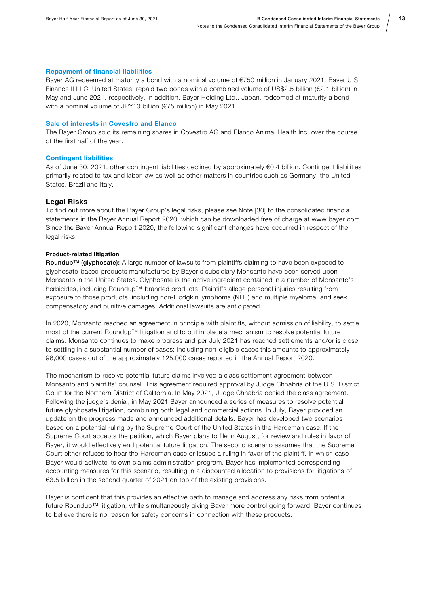#### Repayment of financial liabilities

Bayer AG redeemed at maturity a bond with a nominal volume of €750 million in January 2021. Bayer U.S. Finance II LLC, United States, repaid two bonds with a combined volume of US\$2.5 billion (€2.1 billion) in May and June 2021, respectively. In addition, Bayer Holding Ltd., Japan, redeemed at maturity a bond with a nominal volume of JPY10 billion (€75 million) in May 2021.

#### Sale of interests in Covestro and Elanco

The Bayer Group sold its remaining shares in Covestro AG and Elanco Animal Health Inc. over the course of the first half of the year.

#### Contingent liabilities

As of June 30, 2021, other contingent liabilities declined by approximately €0.4 billion. Contingent liabilities primarily related to tax and labor law as well as other matters in countries such as Germany, the United States, Brazil and Italy.

#### Legal Risks

To find out more about the Bayer Group's legal risks, please see Note [30] to the consolidated financial statements in the Bayer Annual Report 2020, which can be downloaded free of charge at www.bayer.com. Since the Bayer Annual Report 2020, the following significant changes have occurred in respect of the legal risks:

#### Product-related litigation

Roundup™ (glyphosate): A large number of lawsuits from plaintiffs claiming to have been exposed to glyphosate-based products manufactured by Bayer's subsidiary Monsanto have been served upon Monsanto in the United States. Glyphosate is the active ingredient contained in a number of Monsanto's herbicides, including Roundup™-branded products. Plaintiffs allege personal injuries resulting from exposure to those products, including non-Hodgkin lymphoma (NHL) and multiple myeloma, and seek compensatory and punitive damages. Additional lawsuits are anticipated.

In 2020, Monsanto reached an agreement in principle with plaintiffs, without admission of liability, to settle most of the current Roundup™ litigation and to put in place a mechanism to resolve potential future claims. Monsanto continues to make progress and per July 2021 has reached settlements and/or is close to settling in a substantial number of cases; including non-eligible cases this amounts to approximately 96,000 cases out of the approximately 125,000 cases reported in the Annual Report 2020.

The mechanism to resolve potential future claims involved a class settlement agreement between Monsanto and plaintiffs' counsel. This agreement required approval by Judge Chhabria of the U.S. District Court for the Northern District of California. In May 2021, Judge Chhabria denied the class agreement. Following the judge's denial, in May 2021 Bayer announced a series of measures to resolve potential future glyphosate litigation, combining both legal and commercial actions. In July, Bayer provided an update on the progress made and announced additional details. Bayer has developed two scenarios based on a potential ruling by the Supreme Court of the United States in the Hardeman case. If the Supreme Court accepts the petition, which Bayer plans to file in August, for review and rules in favor of Bayer, it would effectively end potential future litigation. The second scenario assumes that the Supreme Court either refuses to hear the Hardeman case or issues a ruling in favor of the plaintiff, in which case Bayer would activate its own claims administration program. Bayer has implemented corresponding accounting measures for this scenario, resulting in a discounted allocation to provisions for litigations of €3.5 billion in the second quarter of 2021 on top of the existing provisions.

Bayer is confident that this provides an effective path to manage and address any risks from potential future Roundup™ litigation, while simultaneously giving Bayer more control going forward. Bayer continues to believe there is no reason for safety concerns in connection with these products.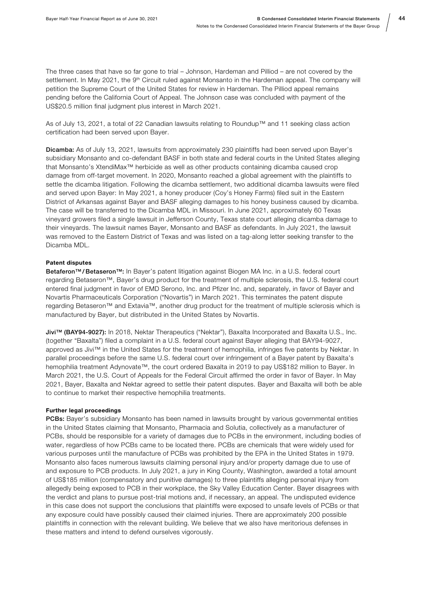The three cases that have so far gone to trial – Johnson, Hardeman and Pilliod – are not covered by the settlement. In May 2021, the 9<sup>th</sup> Circuit ruled against Monsanto in the Hardeman appeal. The company will petition the Supreme Court of the United States for review in Hardeman. The Pilliod appeal remains pending before the California Court of Appeal. The Johnson case was concluded with payment of the US\$20.5 million final judgment plus interest in March 2021.

As of July 13, 2021, a total of 22 Canadian lawsuits relating to Roundup™ and 11 seeking class action certification had been served upon Bayer.

Dicamba: As of July 13, 2021, lawsuits from approximately 230 plaintiffs had been served upon Bayer's subsidiary Monsanto and co-defendant BASF in both state and federal courts in the United States alleging that Monsanto's XtendiMax™ herbicide as well as other products containing dicamba caused crop damage from off-target movement. In 2020, Monsanto reached a global agreement with the plaintiffs to settle the dicamba litigation. Following the dicamba settlement, two additional dicamba lawsuits were filed and served upon Bayer: In May 2021, a honey producer (Coy's Honey Farms) filed suit in the Eastern District of Arkansas against Bayer and BASF alleging damages to his honey business caused by dicamba. The case will be transferred to the Dicamba MDL in Missouri. In June 2021, approximately 60 Texas vineyard growers filed a single lawsuit in Jefferson County, Texas state court alleging dicamba damage to their vineyards. The lawsuit names Bayer, Monsanto and BASF as defendants. In July 2021, the lawsuit was removed to the Eastern District of Texas and was listed on a tag-along letter seeking transfer to the Dicamba MDL.

#### Patent disputes

Betaferon™/ Betaseron™: In Bayer's patent litigation against Biogen MA Inc. in a U.S. federal court regarding Betaseron™, Bayer's drug product for the treatment of multiple sclerosis, the U.S. federal court entered final judgment in favor of EMD Serono, Inc. and Pfizer Inc. and, separately, in favor of Bayer and Novartis Pharmaceuticals Corporation ("Novartis") in March 2021. This terminates the patent dispute regarding Betaseron™ and Extavia™, another drug product for the treatment of multiple sclerosis which is manufactured by Bayer, but distributed in the United States by Novartis.

Jivi™ (BAY94-9027): In 2018, Nektar Therapeutics ("Nektar"), Baxalta Incorporated and Baxalta U.S., Inc. (together "Baxalta") filed a complaint in a U.S. federal court against Bayer alleging that BAY94-9027, approved as Jivi™ in the United States for the treatment of hemophilia, infringes five patents by Nektar. In parallel proceedings before the same U.S. federal court over infringement of a Bayer patent by Baxalta's hemophilia treatment Adynovate™, the court ordered Baxalta in 2019 to pay US\$182 million to Bayer. In March 2021, the U.S. Court of Appeals for the Federal Circuit affirmed the order in favor of Bayer. In May 2021, Bayer, Baxalta and Nektar agreed to settle their patent disputes. Bayer and Baxalta will both be able to continue to market their respective hemophilia treatments.

#### Further legal proceedings

PCBs: Bayer's subsidiary Monsanto has been named in lawsuits brought by various governmental entities in the United States claiming that Monsanto, Pharmacia and Solutia, collectively as a manufacturer of PCBs, should be responsible for a variety of damages due to PCBs in the environment, including bodies of water, regardless of how PCBs came to be located there. PCBs are chemicals that were widely used for various purposes until the manufacture of PCBs was prohibited by the EPA in the United States in 1979. Monsanto also faces numerous lawsuits claiming personal injury and/or property damage due to use of and exposure to PCB products. In July 2021, a jury in King County, Washington, awarded a total amount of US\$185 million (compensatory and punitive damages) to three plaintiffs alleging personal injury from allegedly being exposed to PCB in their workplace, the Sky Valley Education Center. Bayer disagrees with the verdict and plans to pursue post-trial motions and, if necessary, an appeal. The undisputed evidence in this case does not support the conclusions that plaintiffs were exposed to unsafe levels of PCBs or that any exposure could have possibly caused their claimed injuries. There are approximately 200 possible plaintiffs in connection with the relevant building. We believe that we also have meritorious defenses in these matters and intend to defend ourselves vigorously.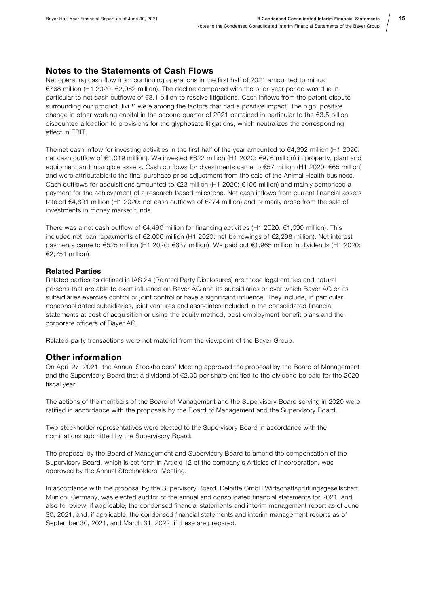#### Notes to the Statements of Cash Flows

Net operating cash flow from continuing operations in the first half of 2021 amounted to minus €768 million (H1 2020: €2,062 million). The decline compared with the prior-year period was due in particular to net cash outflows of €3.1 billion to resolve litigations. Cash inflows from the patent dispute surrounding our product Jivi™ were among the factors that had a positive impact. The high, positive change in other working capital in the second quarter of 2021 pertained in particular to the  $\epsilon$ 3.5 billion discounted allocation to provisions for the glyphosate litigations, which neutralizes the corresponding effect in EBIT.

The net cash inflow for investing activities in the first half of the year amounted to €4,392 million (H1 2020: net cash outflow of €1,019 million). We invested €822 million (H1 2020: €976 million) in property, plant and equipment and intangible assets. Cash outflows for divestments came to €57 million (H1 2020: €65 million) and were attributable to the final purchase price adjustment from the sale of the Animal Health business. Cash outflows for acquisitions amounted to €23 million (H1 2020: €106 million) and mainly comprised a payment for the achievement of a research-based milestone. Net cash inflows from current financial assets totaled €4,891 million (H1 2020: net cash outflows of €274 million) and primarily arose from the sale of investments in money market funds.

There was a net cash outflow of €4,490 million for financing activities (H1 2020: €1,090 million). This included net loan repayments of €2,000 million (H1 2020: net borrowings of €2,298 million). Net interest payments came to €525 million (H1 2020: €637 million). We paid out €1,965 million in dividends (H1 2020: €2,751 million).

#### Related Parties

Related parties as defined in IAS 24 (Related Party Disclosures) are those legal entities and natural persons that are able to exert influence on Bayer AG and its subsidiaries or over which Bayer AG or its subsidiaries exercise control or joint control or have a significant influence. They include, in particular, nonconsolidated subsidiaries, joint ventures and associates included in the consolidated financial statements at cost of acquisition or using the equity method, post-employment benefit plans and the corporate officers of Bayer AG.

Related-party transactions were not material from the viewpoint of the Bayer Group.

#### Other information

On April 27, 2021, the Annual Stockholders' Meeting approved the proposal by the Board of Management and the Supervisory Board that a dividend of €2.00 per share entitled to the dividend be paid for the 2020 fiscal year.

The actions of the members of the Board of Management and the Supervisory Board serving in 2020 were ratified in accordance with the proposals by the Board of Management and the Supervisory Board.

Two stockholder representatives were elected to the Supervisory Board in accordance with the nominations submitted by the Supervisory Board.

The proposal by the Board of Management and Supervisory Board to amend the compensation of the Supervisory Board, which is set forth in Article 12 of the company's Articles of Incorporation, was approved by the Annual Stockholders' Meeting.

In accordance with the proposal by the Supervisory Board, Deloitte GmbH Wirtschaftsprüfungsgesellschaft, Munich, Germany, was elected auditor of the annual and consolidated financial statements for 2021, and also to review, if applicable, the condensed financial statements and interim management report as of June 30, 2021, and, if applicable, the condensed financial statements and interim management reports as of September 30, 2021, and March 31, 2022, if these are prepared.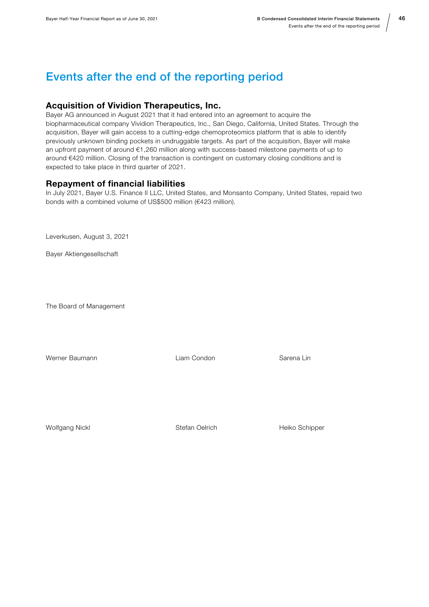### <span id="page-45-0"></span>Events after the end of the reporting period

### Acquisition of Vividion Therapeutics, Inc.

Bayer AG announced in August 2021 that it had entered into an agreement to acquire the biopharmaceutical company Vividion Therapeutics, Inc., San Diego, California, United States. Through the acquisition, Bayer will gain access to a cutting-edge chemoproteomics platform that is able to identify previously unknown binding pockets in undruggable targets. As part of the acquisition, Bayer will make an upfront payment of around €1,260 million along with success-based milestone payments of up to around €420 million. Closing of the transaction is contingent on customary closing conditions and is expected to take place in third quarter of 2021.

### Repayment of financial liabilities

In July 2021, Bayer U.S. Finance II LLC, United States, and Monsanto Company, United States, repaid two bonds with a combined volume of US\$500 million (€423 million).

Leverkusen, August 3, 2021

Bayer Aktiengesellschaft

The Board of Management

Werner Baumann Liam Condon Sarena Lin

Wolfgang Nickl Stefan Oelrich Heiko Schipper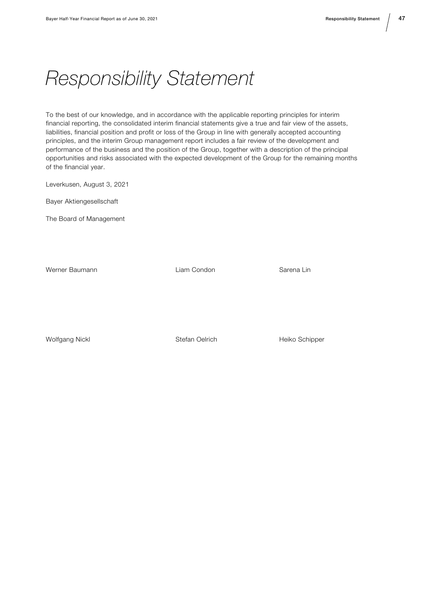# <span id="page-46-0"></span>Responsibility Statement

To the best of our knowledge, and in accordance with the applicable reporting principles for interim financial reporting, the consolidated interim financial statements give a true and fair view of the assets, liabilities, financial position and profit or loss of the Group in line with generally accepted accounting principles, and the interim Group management report includes a fair review of the development and performance of the business and the position of the Group, together with a description of the principal opportunities and risks associated with the expected development of the Group for the remaining months of the financial year.

Leverkusen, August 3, 2021

Bayer Aktiengesellschaft

The Board of Management

Werner Baumann Liam Condon Sarena Lin

Wolfgang Nickl Stefan Oelrich Heiko Schipper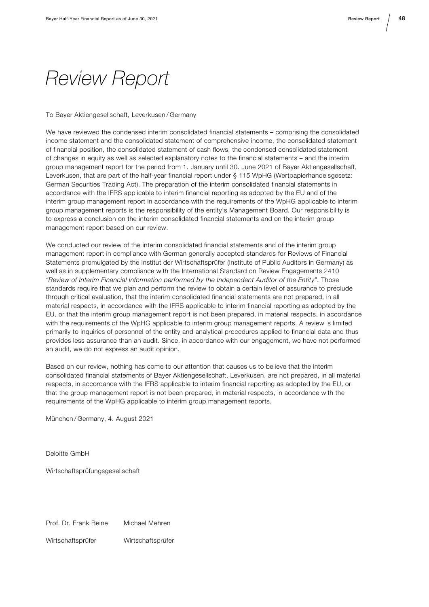# <span id="page-47-0"></span>Review Report

#### To Bayer Aktiengesellschaft, Leverkusen / Germany

We have reviewed the condensed interim consolidated financial statements – comprising the consolidated income statement and the consolidated statement of comprehensive income, the consolidated statement of financial position, the consolidated statement of cash flows, the condensed consolidated statement of changes in equity as well as selected explanatory notes to the financial statements – and the interim group management report for the period from 1. January until 30. June 2021 of Bayer Aktiengesellschaft, Leverkusen, that are part of the half-year financial report under § 115 WpHG (Wertpapierhandelsgesetz: German Securities Trading Act). The preparation of the interim consolidated financial statements in accordance with the IFRS applicable to interim financial reporting as adopted by the EU and of the interim group management report in accordance with the requirements of the WpHG applicable to interim group management reports is the responsibility of the entity's Management Board. Our responsibility is to express a conclusion on the interim consolidated financial statements and on the interim group management report based on our review.

We conducted our review of the interim consolidated financial statements and of the interim group management report in compliance with German generally accepted standards for Reviews of Financial Statements promulgated by the Institut der Wirtschaftsprüfer (Institute of Public Auditors in Germany) as well as in supplementary compliance with the International Standard on Review Engagements 2410 "Review of Interim Financial Information performed by the Independent Auditor of the Entity". Those standards require that we plan and perform the review to obtain a certain level of assurance to preclude through critical evaluation, that the interim consolidated financial statements are not prepared, in all material respects, in accordance with the IFRS applicable to interim financial reporting as adopted by the EU, or that the interim group management report is not been prepared, in material respects, in accordance with the requirements of the WpHG applicable to interim group management reports. A review is limited primarily to inquiries of personnel of the entity and analytical procedures applied to financial data and thus provides less assurance than an audit. Since, in accordance with our engagement, we have not performed an audit, we do not express an audit opinion.

Based on our review, nothing has come to our attention that causes us to believe that the interim consolidated financial statements of Bayer Aktiengesellschaft, Leverkusen, are not prepared, in all material respects, in accordance with the IFRS applicable to interim financial reporting as adopted by the EU, or that the group management report is not been prepared, in material respects, in accordance with the requirements of the WpHG applicable to interim group management reports.

München / Germany, 4. August 2021

Deloitte GmbH

Wirtschaftsprüfungsgesellschaft

Prof. Dr. Frank Beine Michael Mehren

Wirtschaftsprüfer Wirtschaftsprüfer